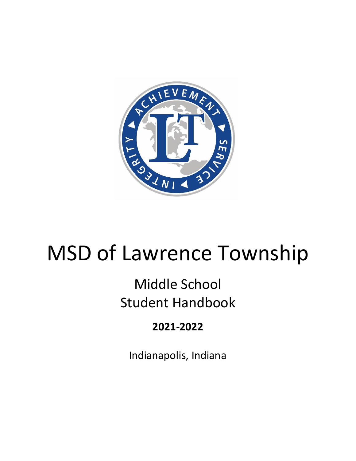

# MSD of Lawrence Township

## Middle School Student Handbook

### **2021-2022**

Indianapolis, Indiana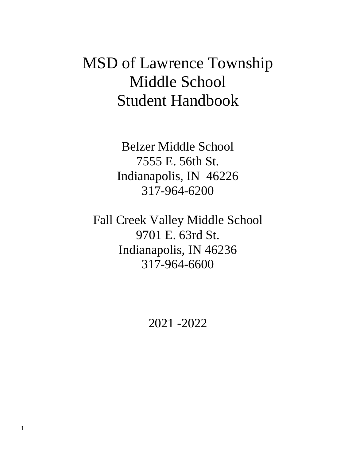### MSD of Lawrence Township Middle School Student Handbook

Belzer Middle School 7555 E. 56th St. Indianapolis, IN 46226 317-964-6200

Fall Creek Valley Middle School 9701 E. 63rd St. Indianapolis, IN 46236 317-964-6600

2021 -2022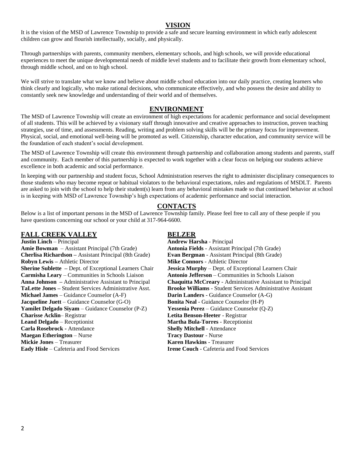#### **VISION**

It is the vision of the MSD of Lawrence Township to provide a safe and secure learning environment in which early adolescent children can grow and flourish intellectually, socially, and physically.

Through partnerships with parents, community members, elementary schools, and high schools, we will provide educational experiences to meet the unique developmental needs of middle level students and to facilitate their growth from elementary school, through middle school, and on to high school.

We will strive to translate what we know and believe about middle school education into our daily practice, creating learners who think clearly and logically, who make rational decisions, who communicate effectively, and who possess the desire and ability to constantly seek new knowledge and understanding of their world and of themselves.

#### **ENVIRONMENT**

The MSD of Lawrence Township will create an environment of high expectations for academic performance and social development of all students. This will be achieved by a visionary staff through innovative and creative approaches to instruction, proven teaching strategies, use of time, and assessments. Reading, writing and problem solving skills will be the primary focus for improvement. Physical, social, and emotional well-being will be promoted as well. Citizenship, character education, and community service will be the foundation of each student's social development.

The MSD of Lawrence Township will create this environment through partnership and collaboration among students and parents, staff and community. Each member of this partnership is expected to work together with a clear focus on helping our students achieve excellence in both academic and social performance.

In keeping with our partnership and student focus, School Administration reserves the right to administer disciplinary consequences to those students who may become repeat or habitual violators to the behavioral expectations, rules and regulations of MSDLT. Parents are asked to join with the school to help their student(s) learn from any behavioral mistakes made so that continued behavior at school is in keeping with MSD of Lawrence Township's high expectations of academic performance and social interaction.

#### **CONTACTS**

Below is a list of important persons in the MSD of Lawrence Township family. Please feel free to call any of these people if you have questions concerning our school or your child at 317-964-6600.

#### **FALL CREEK VALLEY BELZER**

**Justin Linch** – Principal **Andrew Harsha** - Principal **Amie Bowman** – Assistant Principal (7th Grade) **Antonia Fields** - Assistant Principal (7th Grade) **Cherlisa Richardson –** Assistant Principal (8th Grade) **Evan Bergman** - Assistant Principal (8th Grade) **Robyn Lewis –** Athletic Director **Mike Connors** - Athletic Director **Sherine Sublette –** Dept. of Exceptional Learners Chair **Jessica Murphy** – Dept. of Exceptional Learners Chair **Carmisha Leary** – Communities in Schools Liaison **Antonio Jefferson** – Communities in Schools Liaison **Michael James** – Guidance Counselor (A-F) **Darin Landers** - Guidance Counselor (A-G) **Jacqueline Juett** – Guidance Counselor (G-O) **Bonita Neal** - Guidance Counselor (H-P) **Yamilet Delgado Siyam** – Guidance Counselor (P-Z) **Yessenia Perez** – Guidance Counselor (Q-Z) **Charisse Acklin**– Registrar **Letita Benson-Heeter** - Registrar **Leand Delgado** – Receptionist **Martha Bula-Torres** - Receptionist **Carla Rosebrock -** Attendance **Shelly Mitchell** - Attendance **Maegan Etherington** – Nurse **Tracy Dastour** - Nurse **Mickie Jones** – Treasurer **Karen Hawkins** - Treasurer **Eady Hisle** – Cafeteria and Food Services **Irene Couch** - Cafeteria and Food Services

**Anna Johnson –** Administrative Assistant to Principal **Chaquitta McCreary** - Administrative Assistant to Principal **TaLette Jones –** Student Services Administrative Asst. **Brooke Williams** - Student Services Administrative Assistant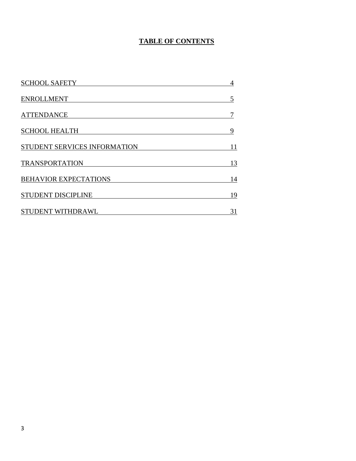#### **TABLE OF CONTENTS**

| <b>SCHOOL SAFETY</b>         | 4  |
|------------------------------|----|
| <b>ENROLLMENT</b>            | 5  |
| <b>ATTENDANCE</b>            |    |
| <b>SCHOOL HEALTH</b>         | 9  |
| STUDENT SERVICES INFORMATION | 11 |
| <b>TRANSPORTATION</b>        | 13 |
| <b>BEHAVIOR EXPECTATIONS</b> | 14 |
| STUDENT DISCIPLINE           | 19 |
| STUDENT WITHDRAWL            | 31 |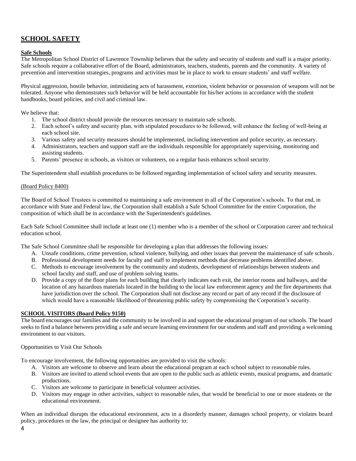#### **SCHOOL SAFETY**

#### **Safe Schools**

The Metropolitan School District of Lawrence Township believes that the safety and security of students and staff is a major priority. Safe schools require a collaborative effort of the Board, administrators, teachers, students, parents and the community. A variety of prevention and intervention strategies, programs and activities must be in place to work to ensure students' and staff welfare.

Physical aggression, hostile behavior, intimidating acts of harassment, extortion, violent behavior or possession of weapons will not be tolerated. Anyone who demonstrates such behavior will be held accountable for his/her actions in accordance with the student handbooks, board policies, and civil and criminal law.

We believe that:

- 1. The school district should provide the resources necessary to maintain safe schools.
- 2. Each school's safety and security plan, with stipulated procedures to be followed, will enhance the feeling of well-being at each school site.
- 3. Various safety and security measures should be implemented, including intervention and police security, as necessary.
- 4. Administrators, teachers and support staff are the individuals responsible for appropriately supervising, monitoring and assisting students.
- 5. Parents' presence in schools, as visitors or volunteers, on a regular basis enhances school security.

The Superintendent shall establish procedures to be followed regarding implementation of school safety and security measures.

#### (Board Policy 8400)

The Board of School Trustees is committed to maintaining a safe environment in all of the Corporation's schools. To that end, in accordance with State and Federal law, the Corporation shall establish a Safe School Committee for the entire Corporation, the composition of which shall be in accordance with the Superintendent's guidelines.

Each Safe School Committee shall include at least one (1) member who is a member of the school or Corporation career and technical education school.

The Safe School Committee shall be responsible for developing a plan that addresses the following issues:

- A. Unsafe conditions, crime prevention, school violence, bullying, and other issues that prevent the maintenance of safe schools.
- B. Professional development needs for faculty and staff to implement methods that decrease problems identified above.
- C. Methods to encourage involvement by the community and students, development of relationships between students and school faculty and staff, and use of problem solving teams.
- D. Provide a copy of the floor plans for each building that clearly indicates each exit, the interior rooms and hallways, and the location of any hazardous materials located in the building to the local law enforcement agency and the fire departments that have jurisdiction over the school. The Corporation shall not disclose any record or part of any record if the disclosure of which would have a reasonable likelihood of threatening public safety by compromising the Corporation's security.

#### **SCHOOL VISITORS (Board Policy 9150)**

The board encourages our families and the community to be involved in and support the educational program of our schools. The board seeks to find a balance between providing a safe and secure learning environment for our students and staff and providing a welcoming environment to our visitors.

#### Opportunities to Visit Our Schools

To encourage involvement, the following opportunities are provided to visit the schools:

- A. Visitors are welcome to observe and learn about the educational program at each school subject to reasonable rules.
- B. Visitors are invited to attend school events that are open to the public such as athletic events, musical programs, and dramatic productions.
- C. Visitors are welcome to participate in beneficial volunteer activities.
- D. Visitors may engage in other activities, subject to reasonable rules, that would be beneficial to one or more students or the educational environment.

When an individual disrupts the educational environment, acts in a disorderly manner, damages school property, or violates board policy, procedures or the law, the principal or designee has authority to: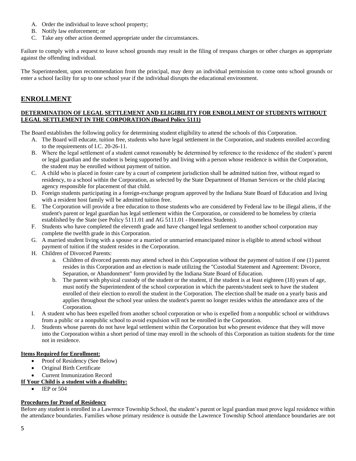- A. Order the individual to leave school property;
- B. Notify law enforcement; or
- C. Take any other action deemed appropriate under the circumstances.

Failure to comply with a request to leave school grounds may result in the filing of trespass charges or other charges as appropriate against the offending individual.

The Superintendent, upon recommendation from the principal, may deny an individual permission to come onto school grounds or enter a school facility for up to one school year if the individual disrupts the educational environment.

#### **ENROLLMENT**

#### **DETERMINATION OF LEGAL SETTLEMENT AND ELIGIBILITY FOR ENROLLMENT OF STUDENTS WITHOUT LEGAL SETTLEMENT IN THE CORPORATION (Board Policy 5111)**

The Board establishes the following policy for determining student eligibility to attend the schools of this Corporation.

- A. The Board will educate, tuition free, students who have legal settlement in the Corporation, and students enrolled according to the requirements of I.C. 20-26-11.
- B. Where the legal settlement of a student cannot reasonably be determined by reference to the residence of the student's parent or legal guardian and the student is being supported by and living with a person whose residence is within the Corporation, the student may be enrolled without payment of tuition.
- C. A child who is placed in foster care by a court of competent jurisdiction shall be admitted tuition free, without regard to residency, to a school within the Corporation, as selected by the State Department of Human Services or the child placing agency responsible for placement of that child.
- D. Foreign students participating in a foreign-exchange program approved by the Indiana State Board of Education and living with a resident host family will be admitted tuition free.
- E. The Corporation will provide a free education to those students who are considered by Federal law to be illegal aliens, if the student's parent or legal guardian has legal settlement within the Corporation, or considered to be homeless by criteria established by the State (see Policy 5111.01 and AG 5111.01 - Homeless Students).
- F. Students who have completed the eleventh grade and have changed legal settlement to another school corporation may complete the twelfth grade in this Corporation.
- G. A married student living with a spouse or a married or unmarried emancipated minor is eligible to attend school without payment of tuition if the student resides in the Corporation.
- H. Children of Divorced Parents:
	- a. Children of divorced parents may attend school in this Corporation without the payment of tuition if one (1) parent resides in this Corporation and an election is made utilizing the "Custodial Statement and Agreement: Divorce, Separation, or Abandonment" form provided by the Indiana State Board of Education.
	- b. The parent with physical custody of the student or the student, if the student is at least eighteen (18) years of age, must notify the Superintendent of the school corporation in which the parents/student seek to have the student enrolled of their election to enroll the student in the Corporation. The election shall be made on a yearly basis and applies throughout the school year unless the student's parent no longer resides within the attendance area of the Corporation.
- I. A student who has been expelled from another school corporation or who is expelled from a nonpublic school or withdraws from a public or a nonpublic school to avoid expulsion will not be enrolled in the Corporation.
- J. Students whose parents do not have legal settlement within the Corporation but who present evidence that they will move into the Corporation within a short period of time may enroll in the schools of this Corporation as tuition students for the time not in residence.

#### **Items Required for Enrollment:**

- Proof of Residency (See Below)
- Original Birth Certificate
- Current Immunization Record

#### **If Your Child is a student with a disability:**

 $\bullet$  IEP or 504

#### **Procedures for Proof of Residency**

Before any student is enrolled in a Lawrence Township School, the student's parent or legal guardian must prove legal residence within the attendance boundaries. Families whose primary residence is outside the Lawrence Township School attendance boundaries are not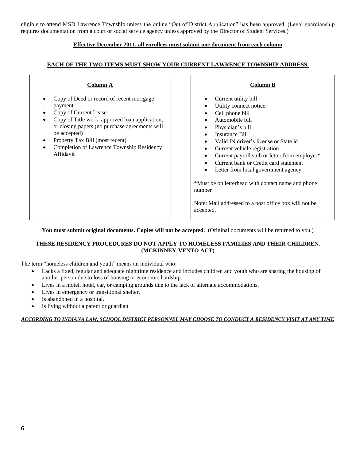eligible to attend MSD Lawrence Township unless the online "Out of District Application" has been approved. (Legal guardianship requires documentation from a court or social service agency unless approved by the Director of Student Services.)

#### **Effective December 2011, all enrollees must submit one document from each column**

#### **EACH OF THE TWO ITEMS MUST SHOW YOUR CURRENT LAWRENCE TOWNSHIP ADDRESS.**

**Column A**

- Copy of Deed or record of recent mortgage payment
- Copy of Current Lease
- Copy of Title work, approved loan application, or closing papers (no purchase agreements will be accepted)
- Property Tax Bill (most recent)
- Completion of Lawrence Township Residency Affidavit

#### **Column B**

- Current utility bill
- Utility connect notice
- Cell phone bill
- Automobile bill
- Physician's bill
- Insurance Bill
- Valid IN driver's license or State id
- Current vehicle registration
- Current payroll stub or letter from employer\*
- Current bank or Credit card statement
- Letter from local government agency

\*Must be on letterhead with contact name and phone number

Note: Mail addressed to a post office box will not be accepted.

**You must submit original documents. Copies will not be accepted**. (Original documents will be returned to you.)

#### **THESE RESIDENCY PROCEDURES DO NOT APPLY TO HOMELESS FAMILIES AND THEIR CHILDREN. (MCKINNEY-VENTO ACT)**

The term "homeless children and youth" means an individual who:

- Lacks a fixed, regular and adequate nighttime residence and includes children and youth who are sharing the housing of another person due to loss of housing or economic hardship.
- Lives in a motel, hotel, car, or camping grounds due to the lack of alternate accommodations.
- Lives in emergency or transitional shelter.
- Is abandoned in a hospital.
- Is living without a parent or guardian

#### *ACCORDING TO INDIANA LAW, SCHOOL DISTRICT PERSONNEL MAY CHOOSE TO CONDUCT A RESIDENCY VISIT AT ANY TIME*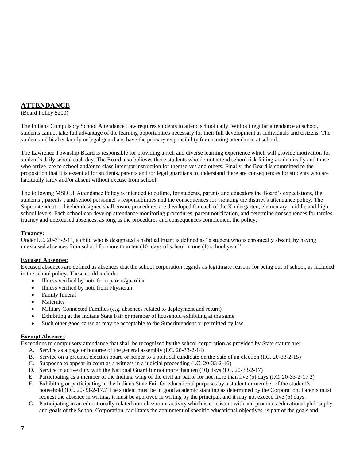#### **ATTENDANCE**

**(**Board Policy 5200)

The Indiana Compulsory School Attendance Law requires students to attend school daily. Without regular attendance at school, students cannot take full advantage of the learning opportunities necessary for their full development as individuals and citizens. The student and his/her family or legal guardians have the primary responsibility for ensuring attendance at school.

The Lawrence Township Board is responsible for providing a rich and diverse learning experience which will provide motivation for student's daily school each day. The Board also believes those students who do not attend school risk failing academically and those who arrive late to school and/or to class interrupt instruction for themselves and others. Finally, the Board is committed to the proposition that it is essential for students, parents and /or legal guardians to understand there are consequences for students who are habitually tardy and/or absent without excuse from school.

The following MSDLT Attendance Policy is intended to outline, for students, parents and educators the Board's expectations, the students', parents', and school personnel's responsibilities and the consequences for violating the district's attendance policy. The Superintendent or his/her designee shall ensure procedures are developed for each of the Kindergarten, elementary, middle and high school levels. Each school can develop attendance monitoring procedures, parent notification, and determine consequences for tardies, truancy and unexcused absences, as long as the procedures and consequences complement the policy.

#### **Truancy:**

Under I.C. 20-33-2-11, a child who is designated a habitual truant is defined as "a student who is chronically absent, by having unexcused absences from school for more than ten (10) days of school in one (1) school year."

#### **Excused Absences:**

Excused absences are defined as absences that the school corporation regards as legitimate reasons for being out of school, as included in the school policy. These could include:

- Illness verified by note from parent/guardian
- Illness verified by note from Physician
- Family funeral
- **Maternity**
- Military Connected Families (e.g. absences related to deployment and return)
- Exhibiting at the Indiana State Fair or member of household exhibiting at the same
- Such other good cause as may be acceptable to the Superintendent or permitted by law

#### **Exempt Absences**

Exceptions to compulsory attendance that shall be recognized by the school corporation as provided by State statute are:

- A. Service as a page or honoree of the general assembly (I.C. 20-33-2-14)
- B. Service on a precinct election board or helper to a political candidate on the date of an election (I.C. 20-33-2-15)
- C. Subpoena to appear in court as a witness in a judicial proceeding (I.C. 20-33-2-16)
- D. Service in active duty with the National Guard for not more than ten (10) days (I.C. 20-33-2-17)
- E. Participating as a member of the Indiana wing of the civil air patrol for not more than five (5) days (I.C. 20-33-2-17.2)
- F. Exhibiting or participating in the Indiana State Fair for educational purposes by a student or member of the student's household (I.C. 20-33-2-17.7 The student must be in good academic standing as determined by the Corporation. Parents must request the absence in writing, it must be approved in writing by the principal, and it may not exceed five (5) days.
- G. Participating in an educationally related non-classroom activity which is consistent with and promotes educational philosophy and goals of the School Corporation, facilitates the attainment of specific educational objectives, is part of the goals and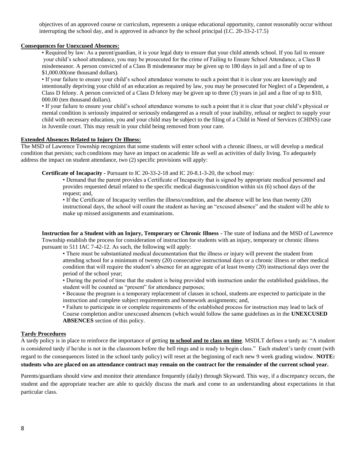objectives of an approved course or curriculum, represents a unique educational opportunity, cannot reasonably occur without interrupting the school day, and is approved in advance by the school principal (I.C. 20-33-2-17.5)

#### **Consequences for Unexcused Absences:**

• Required by law: As a parent/guardian, it is your legal duty to ensure that your child attends school. If you fail to ensure your child's school attendance, you may be prosecuted for the crime of Failing to Ensure School Attendance, a Class B misdemeanor. A person convicted of a Class B misdemeanor may be given up to 180 days in jail and a fine of up to \$1,000.00(one thousand dollars).

• If your failure to ensure your child's school attendance worsens to such a point that it is clear you are knowingly and intentionally depriving your child of an education as required by law, you may be prosecuted for Neglect of a Dependent, a Class D felony. A person convicted of a Class D felony may be given up to three (3) years in jail and a fine of up to \$10, 000.00 (ten thousand dollars).

• If your failure to ensure your child's school attendance worsens to such a point that it is clear that your child's physical or mental condition is seriously impaired or seriously endangered as a result of your inability, refusal or neglect to supply your child with necessary education, you and your child may be subject to the filing of a Child in Need of Services (CHINS) case in Juvenile court. This may result in your child being removed from your care.

#### **Extended Absences Related to Injury Or Illness:**

The MSD of Lawrence Township recognizes that some students will enter school with a chronic illness, or will develop a medical condition that persists; such conditions may have an impact on academic life as well as activities of daily living. To adequately address the impact on student attendance, two (2) specific provisions will apply:

**Certificate of Incapacity -** Pursuant to IC 20-33-2-18 and IC 20-8.1-3-20, the school may:

• Demand that the parent provides a Certificate of Incapacity that is signed by appropriate medical personnel and provides requested detail related to the specific medical diagnosis/condition within six (6) school days of the request; and,

• If the Certificate of Incapacity verifies the illness/condition, and the absence will be less than twenty (20) instructional days, the school will count the student as having an "excused absence" and the student will be able to make up missed assignments and examinations.

**Instruction for a Student with an Injury, Temporary or Chronic Illness -** The state of Indiana and the MSD of Lawrence Township establish the process for consideration of instruction for students with an injury, temporary or chronic illness pursuant to 511 IAC 7-42-12. As such, the following will apply:

• There must be substantiated medical documentation that the illness or injury will prevent the student from attending school for a minimum of twenty (20) consecutive instructional days or a chronic illness or other medical condition that will require the student's absence for an aggregate of at least twenty (20) instructional days over the period of the school year;

• During the period of time that the student is being provided with instruction under the established guidelines, the student will be counted as "present" for attendance purposes;

• Because the program is a temporary replacement of classes in school, students are expected to participate in the instruction and complete subject requirements and homework assignments; and,

• Failure to participate in or complete requirements of the established process for instruction may lead to lack of Course completion and/or unexcused absences (which would follow the same guidelines as in the **UNEXCUSED ABSENCES** section of this policy.

#### **Tardy Procedures**

A tardy policy is in place to reinforce the importance of getting **to school and to class on time**. MSDLT defines a tardy as: "A student is considered tardy if he/she is not in the classroom before the bell rings and is ready to begin class." Each student's tardy count (with regard to the consequences listed in the school tardy policy) will reset at the beginning of each new 9 week grading window. **NOTE: students who are placed on an attendance contract may remain on the contract for the remainder of the current school year.** 

Parents/guardians should view and monitor their attendance frequently (daily) through Skyward. This way, if a discrepancy occurs, the student and the appropriate teacher are able to quickly discuss the mark and come to an understanding about expectations in that particular class.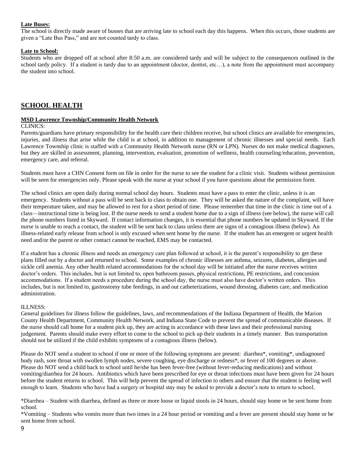#### **Late Buses:**

The school is directly made aware of busses that are arriving late to school each day this happens. When this occurs, those students are given a "Late Bus Pass," and are not counted tardy to class.

#### **Late to School:**

Students who are dropped off at school after 8:50 a.m. are considered tardy and will be subject to the consequences outlined in the school tardy policy. If a student is tardy due to an appointment (doctor, dentist, etc…), a note from the appointment must accompany the student into school.

#### **SCHOOL HEALTH**

#### **MSD Lawrence Township/Community Health Network**

#### CLINICS:

Parents/guardians have primary responsibility for the health care their children receive, but school clinics are available for emergencies, injuries, and illness that arise while the child is at school, in addition to management of chronic illnesses and special needs. Each Lawrence Township clinic is staffed with a Community Health Network nurse (RN or LPN). Nurses do not make medical diagnoses, but they are skilled in assessment, planning, intervention, evaluation, promotion of wellness, health counseling/education, prevention, emergency care, and referral.

Students must have a CHN Consent form on file in order for the nurse to see the student for a clinic visit. Students without permission will be seen for emergencies only. Please speak with the nurse at your school if you have questions about the permission form.

The school clinics are open daily during normal school day hours. Students must have a pass to enter the clinic, unless it is an emergency. Students without a pass will be sent back to class to obtain one. They will be asked the nature of the complaint, will have their temperature taken, and may be allowed to rest for a short period of time. Please remember that time in the clinic is time out of a class—instructional time is being lost. If the nurse needs to send a student home due to a sign of illness (see below), the nurse will call the phone numbers listed in Skyward. If contact information changes, it is essential that phone numbers be updated in Skyward. If the nurse is unable to reach a contact, the student will be sent back to class unless there are signs of a contagious illness (below). An illness-related early release from school is only excused when sent home by the nurse. If the student has an emergent or urgent health need and/or the parent or other contact cannot be reached, EMS may be contacted.

If a student has a chronic illness and needs an emergency care plan followed at school, it is the parent's responsibility to get these plans filled out by a doctor and returned to school. Some examples of chronic illnesses are asthma, seizures, diabetes, allergies and sickle cell anemia. Any other health related accommodations for the school day will be initiated after the nurse receives written doctor's orders. This includes, but is not limited to, open bathroom passes, physical restrictions, PE restrictions, and concussion accommodations. If a student needs a procedure during the school day, the nurse must also have doctor's written orders. This includes, but is not limited to, gastrostomy tube feedings, in and out catheterizations, wound dressing, diabetes care, and medication administration.

#### ILLNESS:

General guidelines for illness follow the guidelines, laws, and recommendations of the Indiana Department of Health, the Marion County Health Department, Community Health Network, and Indiana State Code to prevent the spread of communicable diseases. If the nurse should call home for a student pick up, they are acting in accordance with these laws and their professional nursing judgement. Parents should make every effort to come to the school to pick up their students in a timely manner. Bus transportation should not be utilized if the child exhibits symptoms of a contagious illness (below).

Please do NOT send a student to school if one or more of the following symptoms are present: diarrhea\*, vomiting\*, undiagnosed body rash, sore throat with swollen lymph nodes, severe coughing, eye discharge or redness\*, or fever of 100 degrees or above. Please do NOT send a child back to school until he/she has been fever-free (without fever-reducing medications) and without vomiting/diarrhea for 24 hours. Antibiotics which have been prescribed for eye or throat infections must have been given for 24 hours before the student returns to school. This will help prevent the spread of infection to others and ensure that the student is feeling well enough to learn. Students who have had a surgery or hospital stay may be asked to provide a doctor's note to return to school.

\*Diarrhea – Student with diarrhea, defined as three or more loose or liquid stools in 24 hours, should stay home or be sent home from school.

\*Vomiting – Students who vomits more than two times in a 24 hour period or vomiting and a fever are present should stay home or be sent home from school.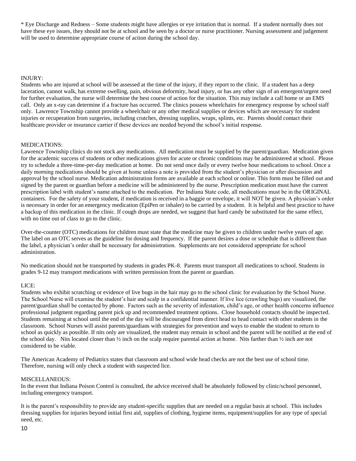\* Eye Discharge and Redness – Some students might have allergies or eye irritation that is normal. If a student normally does not have these eye issues, they should not be at school and be seen by a doctor or nurse practitioner. Nursing assessment and judgement will be used to determine appropriate course of action during the school day.

#### INJURY:

Students who are injured at school will be assessed at the time of the injury, if they report to the clinic. If a student has a deep laceration, cannot walk, has extreme swelling, pain, obvious deformity, head injury, or has any other sign of an emergent/urgent need for further evaluation, the nurse will determine the best course of action for the situation. This may include a call home or an EMS call. Only an x-ray can determine if a fracture has occurred. The clinics possess wheelchairs for emergency response by school staff only. Lawrence Township cannot provide a wheelchair or any other medical supplies or devices which are necessary for student injuries or recuperation from surgeries, including crutches, dressing supplies, wraps, splints, etc. Parents should contact their healthcare provider or insurance carrier if these devices are needed beyond the school's initial response.

#### MEDICATIONS:

Lawrence Township clinics do not stock any medications. All medication must be supplied by the parent/guardian. Medication given for the academic success of students or other medications given for acute or chronic conditions may be administered at school. Please try to schedule a three-time-per-day medication at home. Do not send once daily or every twelve hour medications to school. Once a daily morning medications should be given at home unless a note is provided from the student's physician or after discussion and approval by the school nurse. Medication administration forms are available at each school or online. This form must be filled out and signed by the parent or guardian before a medicine will be administered by the nurse. Prescription medication must have the current prescription label with student's name attached to the medication. Per Indiana State code, all medications must be in the ORIGINAL containers. For the safety of your student, if medication is received in a baggie or envelope, it will NOT be given. A physician's order is necessary in order for an emergency medication (EpiPen or inhaler) to be carried by a student. It is helpful and best practice to have a backup of this medication in the clinic. If cough drops are needed, we suggest that hard candy be substituted for the same effect, with no time out of class to go to the clinic.

Over-the-counter (OTC) medications for children must state that the medicine may be given to children under twelve years of age. The label on an OTC serves as the guideline for dosing and frequency. If the parent desires a dose or schedule that is different than the label, a physician's order shall be necessary for administration. Supplements are not considered appropriate for school administration.

No medication should not be transported by students in grades PK-8. Parents must transport all medications to school. Students in grades 9-12 may transport medications with written permission from the parent or guardian.

#### LICE:

Students who exhibit scratching or evidence of live bugs in the hair may go to the school clinic for evaluation by the School Nurse. The School Nurse will examine the student's hair and scalp in a confidential manner. If live lice (crawling bugs) are visualized, the parent/guardian shall be contacted by phone. Factors such as the severity of infestation, child's age, or other health concerns influence professional judgment regarding parent pick up and recommended treatment options. Close household contacts should be inspected. Students remaining at school until the end of the day will be discouraged from direct head to head contact with other students in the classroom. School Nurses will assist parents/guardians with strategies for prevention and ways to enable the student to return to school as quickly as possible. If nits only are visualized, the student may remain in school and the parent will be notified at the end of the school day. Nits located closer than ½ inch on the scalp require parental action at home. Nits farther than ½ inch are not considered to be viable.

The American Academy of Pediatrics states that classroom and school wide head checks are not the best use of school time. Therefore, nursing will only check a student with suspected lice.

#### MISCELLANEOUS:

In the event that Indiana Poison Control is consulted, the advice received shall be absolutely followed by clinic/school personnel, including emergency transport.

It is the parent's responsibility to provide any student-specific supplies that are needed on a regular basis at school. This includes dressing supplies for injuries beyond initial first aid, supplies of clothing, hygiene items, equipment/supplies for any type of special need, etc.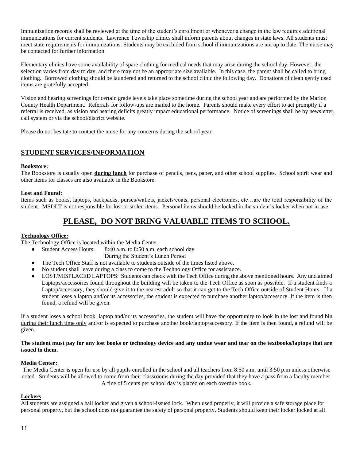Immunization records shall be reviewed at the time of the student's enrollment or whenever a change in the law requires additional immunizations for current students. Lawrence Township clinics shall inform parents about changes in state laws. All students must meet state requirements for immunizations. Students may be excluded from school if immunizations are not up to date. The nurse may be contacted for further information.

Elementary clinics have some availability of spare clothing for medical needs that may arise during the school day. However, the selection varies from day to day, and there may not be an appropriate size available. In this case, the parent shall be called to bring clothing. Borrowed clothing should be laundered and returned to the school clinic the following day. Donations of clean gently used items are gratefully accepted.

Vision and hearing screenings for certain grade levels take place sometime during the school year and are performed by the Marion County Health Department. Referrals for follow-ups are mailed to the home. Parents should make every effort to act promptly if a referral is received, as vision and hearing deficits greatly impact educational performance. Notice of screenings shall be by newsletter, call system or via the school/district website.

Please do not hesitate to contact the nurse for any concerns during the school year.

#### **STUDENT SERVICES/INFORMATION**

#### **Bookstore:**

The Bookstore is usually open **during lunch** for purchase of pencils, pens, paper, and other school supplies. School spirit wear and other items for classes are also available in the Bookstore.

#### **Lost and Found:**

Items such as books, laptops, backpacks, purses/wallets, jackets/coats, personal electronics, etc…are the total responsibility of the student. MSDLT is not responsible for lost or stolen items. Personal items should be locked in the student's locker when not in use.

### **PLEASE, DO NOT BRING VALUABLE ITEMS TO SCHOOL.**

#### **Technology Office:**

The Technology Office is located within the Media Center.

- Student Access Hours: 8:40 a.m. to 8:50 a.m. each school day
	- During the Student's Lunch Period
- The Tech Office Staff is not available to students outside of the times listed above.
- No student shall leave during a class to come to the Technology Office for assistance.
- LOST/MISPLACED LAPTOPS: Students can check with the Tech Office during the above mentioned hours. Any unclaimed Laptops/accessories found throughout the building will be taken to the Tech Office as soon as possible. If a student finds a Laptop/accessory, they should give it to the nearest adult so that it can get to the Tech Office outside of Student Hours. If a student loses a laptop and/or its accessories, the student is expected to purchase another laptop/accessory. If the item is then found, a refund will be given.

If a student loses a school book, laptop and/or its accessories, the student will have the opportunity to look in the lost and found bin during their lunch time only and/or is expected to purchase another book/laptop/accessory. If the item is then found, a refund will be given.

#### **The student must pay for any lost books or technology device and any undue wear and tear on the textbooks/laptops that are issued to them.**

#### **Media Center:**

The Media Center is open for use by all pupils enrolled in the school and all teachers from 8:50 a.m. until 3:50 p.m unless otherwise noted. Students will be allowed to come from their classrooms during the day provided that they have a pass from a faculty member. A fine of 5 cents per school day is placed on each overdue book.

#### **Lockers**

All students are assigned a hall locker and given a school-issued lock. When used properly, it will provide a safe storage place for personal property, but the school does not guarantee the safety of personal property. Students should keep their locker locked at all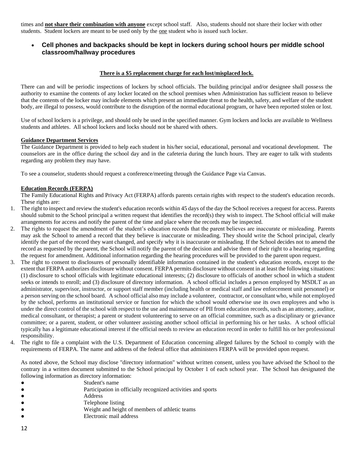times and **not share their combination with anyone** except school staff. Also, students should not share their locker with other students. Student lockers are meant to be used only by the one student who is issued such locker.

#### • **Cell phones and backpacks should be kept in lockers during school hours per middle school classroom/hallway procedures**

#### **There is a \$5 replacement charge for each lost/misplaced lock.**

There can and will be periodic inspections of lockers by school officials. The building principal and/or designee shall possess the authority to examine the contents of any locker located on the school premises when Administration has sufficient reason to believe that the contents of the locker may include elements which present an immediate threat to the health, safety, and welfare of the student body, are illegal to possess, would contribute to the disruption of the normal educational program, or have been reported stolen or lost.

Use of school lockers is a privilege, and should only be used in the specified manner. Gym lockers and locks are available to Wellness students and athletes. All school lockers and locks should not be shared with others.

#### **Guidance Department Services**

The Guidance Department is provided to help each student in his/her social, educational, personal and vocational development. The counselors are in the office during the school day and in the cafeteria during the lunch hours. They are eager to talk with students regarding any problem they may have.

To see a counselor, students should request a conference/meeting through the Guidance Page via Canvas.

#### **Education Records (FERPA)**

The Family Educational Rights and Privacy Act (FERPA) affords parents certain rights with respect to the student's education records. These rights are:

- 1. The right to inspect and review the student's education records within 45 days of the day the School receives a request for access. Parents should submit to the School principal a written request that identifies the record(s) they wish to inspect. The School official will make arrangements for access and notify the parent of the time and place where the records may be inspected.
- 2. The rights to request the amendment of the student's education records that the parent believes are inaccurate or misleading. Parents may ask the School to amend a record that they believe is inaccurate or misleading. They should write the School principal, clearly identify the part of the record they want changed, and specify why it is inaccurate or misleading. If the School decides not to amend the record as requested by the parent, the School will notify the parent of the decision and advise them of their right to a hearing regarding the request for amendment. Additional information regarding the hearing procedures will be provided to the parent upon request.
- 3. The right to consent to disclosures of personally identifiable information contained in the student's education records, except to the extent that FERPA authorizes disclosure without consent. FERPA permits disclosure without consent in at least the following situations: (1) disclosure to school officials with legitimate educational interests; (2) disclosure to officials of another school in which a student seeks or intends to enroll; and (3) disclosure of directory information. A school official includes a person employed by MSDLT as an administrator, supervisor, instructor, or support staff member (including health or medical staff and law enforcement unit personnel) or a person serving on the school board. A school official also may include a volunteer, contractor, or consultant who, while not employed by the school, performs an institutional service or function for which the school would otherwise use its own employees and who is under the direct control of the school with respect to the use and maintenance of PII from education records, such as an attorney, auditor, medical consultant, or therapist; a parent or student volunteering to serve on an official committee, such as a disciplinary or grievance committee; or a parent, student, or other volunteer assisting another school official in performing his or her tasks. A school official typically has a legitimate educational interest if the official needs to review an education record in order to fulfill his or her professional responsibility.
- The right to file a complaint with the U.S. Department of Education concerning alleged failures by the School to comply with the requirements of FERPA. The name and address of the federal office that administers FERPA will be provided upon request.

As noted above, the School may disclose "directory information" without written consent, unless you have advised the School to the contrary in a written document submitted to the School principal by October 1 of each school year. The School has designated the following information as directory information:

- Student's name
- Participation in officially recognized activities and sports
- Address
- Telephone listing
- Weight and height of members of athletic teams
- Electronic mail address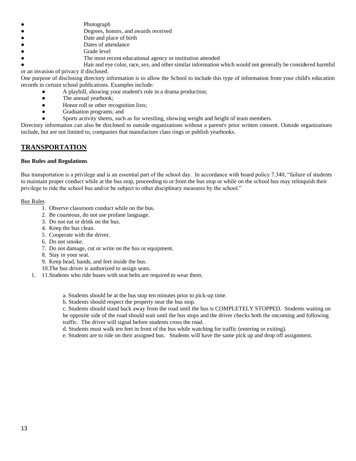- Photograph
- Degrees, honors, and awards received
- Date and place of birth
- Dates of attendance
- Grade level
- The most recent educational agency or institution attended

● Hair and eye color, race, sex, and other similar information which would not generally be considered harmful or an invasion of privacy if disclosed.

One purpose of disclosing directory information is to allow the School to include this type of information from your child's education records in certain school publications. Examples include:

- A playbill, showing your student's role in a drama production;
	- The annual yearbook;
	- Honor roll or other recognition lists;
	- Graduation programs; and
	- Sports activity sheets, such as for wrestling, showing weight and height of team members.

Directory information can also be disclosed to outside organizations without a parent's prior written consent. Outside organizations include, but are not limited to, companies that manufacture class rings or publish yearbooks.

#### **TRANSPORTATION**

#### **Bus Rules and Regulations**

Bus transportation is a privilege and is an essential part of the school day. In accordance with board policy 7.340, "failure of students to maintain proper conduct while at the bus stop, proceeding to or from the bus stop or while on the school bus may relinquish their privilege to ride the school bus and/or be subject to other disciplinary measures by the school."

#### Bus Rules

- 1. Observe classroom conduct while on the bus.
- 2. Be courteous, do not use profane language.
- 3. Do not eat or drink on the bus.
- 4. Keep the bus clean.
- 5. Cooperate with the driver.
- 6. Do not smoke.
- 7. Do not damage, cut or write on the bus or equipment.
- 8. Stay in your seat.
- 9. Keep head, hands, and feet inside the bus.
- 10.The bus driver is authorized to assign seats.
- 1. 11.Students who ride buses with seat belts are required to wear them.

a. Students should be at the bus stop ten minutes prior to pick-up time.

b. Students should respect the property near the bus stop.

c. Students should stand back away from the road until the bus is COMPLETELY STOPPED. Students waiting on he opposite side of the road should wait until the bus stops and the driver checks both the oncoming and following traffic. The driver will signal before students cross the road.

d. Students must walk ten feet in front of the bus while watching for traffic (entering or exiting).

e. Students are to ride on their assigned bus. Students will have the same pick up and drop off assignment.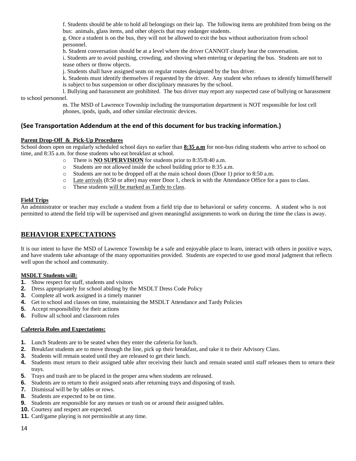f. Students should be able to hold all belongings on their lap. The following items are prohibited from being on the bus: animals, glass items, and other objects that may endanger students.

g. Once a student is on the bus, they will not be allowed to exit the bus without authorization from school personnel.

h. Student conversation should be at a level where the driver CANNOT clearly hear the conversation.

i. Students are to avoid pushing, crowding, and shoving when entering or departing the bus. Students are not to tease others or throw objects.

j. Students shall have assigned seats on regular routes designated by the bus driver.

k. Students must identify themselves if requested by the driver. Any student who refuses to identify himself/herself is subject to bus suspension or other disciplinary measures by the school.

l. Bullying and harassment are prohibited. The bus driver may report any suspected case of bullying or harassment to school personnel.

m. The MSD of Lawrence Township including the transportation department is NOT responsible for lost cell phones, ipods, ipads, and other similar electronic devices.

#### **(See Transportation Addendum at the end of this document for bus tracking information.)**

#### **Parent Drop-Off & Pick-Up Procedures**

School doors open on regularly scheduled school days no earlier than **8:35 a.m** for non-bus riding students who arrive to school on time, and 8:35 a.m. for those students who eat breakfast at school.

- o There is **NO SUPERVISION** for students prior to 8:35/8:40 a.m.
- o Students are not allowed inside the school building prior to 8:35 a.m.
- o Students are not to be dropped off at the main school doors (Door 1) prior to 8:50 a.m.
- o Late arrivals (8:50 or after) may enter Door 1, check in with the Attendance Office for a pass to class.
- o These students will be marked as Tardy to class.

#### **Field Trips**

An administrator or teacher may exclude a student from a field trip due to behavioral or safety concerns. A student who is not permitted to attend the field trip will be supervised and given meaningful assignments to work on during the time the class is away.

#### **BEHAVIOR EXPECTATIONS**

It is our intent to have the MSD of Lawrence Township be a safe and enjoyable place to learn, interact with others in positive ways, and have students take advantage of the many opportunities provided. Students are expected to use good moral judgment that reflects well upon the school and community.

#### **MSDLT Students will:**

- **1.** Show respect for staff, students and visitors
- **2.** Dress appropriately for school abiding by the MSDLT Dress Code Policy
- **3.** Complete all work assigned in a timely manner
- **4.** Get to school and classes on time, maintaining the MSDLT Attendance and Tardy Policies
- **5.** Accept responsibility for their actions
- **6.** Follow all school and classroom rules

#### **Cafeteria Rules and Expectations:**

- **1.** Lunch Students are to be seated when they enter the cafeteria for lunch.
- **2.** Breakfast students are to move through the line, pick up their breakfast, and take it to their Advisory Class.
- **3.** Students will remain seated until they are released to get their lunch.
- **4.** Students must return to their assigned table after receiving their lunch and remain seated until staff releases them to return their trays.
- **5.** Trays and trash are to be placed in the proper area when students are released.
- **6.** Students are to return to their assigned seats after returning trays and disposing of trash.
- **7.** Dismissal will be by tables or rows.
- **8.** Students are expected to be on time.
- **9.** Students are responsible for any messes or trash on or around their assigned tables.
- **10.** Courtesy and respect are expected.
- **11.** Card/game playing is not permissible at any time.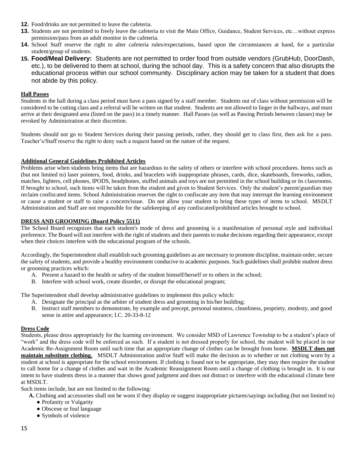- **12.** Food/drinks are not permitted to leave the cafeteria.
- **13.** Students are not permitted to freely leave the cafeteria to visit the Main Office, Guidance, Student Services, etc…without express permission/pass from an adult monitor in the cafeteria.
- **14.** School Staff reserve the right to alter cafeteria rules/expectations, based upon the circumstances at hand, for a particular student/group of students.
- **15. Food/Meal Delivery:** Students are not permitted to order food from outside vendors (GrubHub, DoorDash, etc.), to be delivered to them at school, during the school day. This is a safety concern that also disrupts the educational process within our school community. Disciplinary action may be taken for a student that does not abide by this policy.

#### **Hall Passes**

Students in the hall during a class period must have a pass signed by a staff member. Students out of class without permission will be considered to be cutting class and a referral will be written on that student. Students are not allowed to linger in the hallways, and must arrive at their designated area (listed on the pass) in a timely manner. Hall Passes (as well as Passing Periods between classes) may be revoked by Administration at their discretion.

Students should not go to Student Services during their passing periods, rather, they should get to class first, then ask for a pass. Teacher's/Staff reserve the right to deny such a request based on the nature of the request.

#### **Additional General Guidelines Prohibited Articles**

Problems arise when students bring items that are hazardous to the safety of others or interfere with school procedures. Items such as (but not limited to) laser pointers, food, drinks, and bracelets with inappropriate phrases, cards, dice, skateboards, fireworks, radios, matches, lighters, cell phones, IPODS, headphones, stuffed animals and toys are not permitted in the school building or its classrooms. If brought to school, such items will be taken from the student and given to Student Services. Only the student's parent/guardian may reclaim confiscated items. School Administration reserves the right to confiscate any item that may interrupt the learning environment or cause a student or staff to raise a concern/issue. Do not allow your student to bring these types of items to school. MSDLT Administration and Staff are not responsible for the safekeeping of any confiscated/prohibited articles brought to school.

#### **DRESS AND GROOMING (Board Policy 5511)**

The School Board recognizes that each student's mode of dress and grooming is a manifestation of personal style and individual preference. The Board will not interfere with the right of students and their parents to make decisions regarding their appearance, except when their choices interfere with the educational program of the schools.

Accordingly, the Superintendent shall establish such grooming guidelines as are necessary to promote discipline, maintain order, secure the safety of students, and provide a healthy environment conducive to academic purposes. Such guidelines shall prohibit student dress or grooming practices which:

- A. Present a hazard to the health or safety of the student himself/herself or to others in the school;
- B. Interfere with school work, create disorder, or disrupt the educational program;

The Superintendent shall develop administrative guidelines to implement this policy which:

- A. Designate the principal as the arbiter of student dress and grooming in his/her building;
- B. Instruct staff members to demonstrate, by example and precept, personal neatness, cleanliness, propriety, modesty, and good sense in attire and appearance; I.C. 20-33-8-12

#### **Dress Code**

Students, please dress appropriately for the learning environment. We consider MSD of Lawrence Township to be a student's place of "work" and the dress code will be enforced as such. If a student is not dressed properly for school, the student will be placed in our Academic Re-Assignment Room until such time that an appropriate change of clothes can be brought from home. **MSDLT does not maintain substitute clothing.** MSDLT Administration and/or Staff will make the decision as to whether or not clothing worn by a student at school is appropriate for the school environment. If clothing is found not to be appropriate, they may then require the student to call home for a change of clothes and wait in the Academic Reassignment Room until a change of clothing is brought in. It is our intent to have students dress in a manner that shows good judgment and does not distract or interfere with the educational climate here at MSDLT.

Such items include, but are not limited to the following:

**A.** Clothing and accessories shall not be worn if they display or suggest inappropriate pictures/sayings including (but not limited to)

- Profanity or Vulgarity
- Obscene or foul language
- Symbols of violence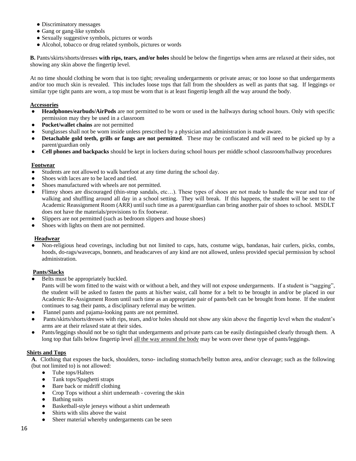- Discriminatory messages
- Gang or gang-like symbols
- Sexually suggestive symbols, pictures or words
- Alcohol, tobacco or drug related symbols, pictures or words

**B.** Pants/skirts/shorts/dresses **with rips, tears, and/or holes** should be below the fingertips when arms are relaxed at their sides, not showing any skin above the fingertip level.

At no time should clothing be worn that is too tight; revealing undergarments or private areas; or too loose so that undergarments and/or too much skin is revealed. This includes loose tops that fall from the shoulders as well as pants that sag. If leggings or similar type tight pants are worn, a top must be worn that is at least fingertip length all the way around the body.

#### **Accessories**

- **Headphones/earbuds/AirPods** are not permitted to be worn or used in the hallways during school hours. Only with specific permission may they be used in a classroom
- Pocket/wallet chains are not permitted
- Sunglasses shall not be worn inside unless prescribed by a physician and administration is made aware.
- **Detachable gold teeth, grills or fangs are not permitted.** These may be confiscated and will need to be picked up by a parent/guardian only
- **Cell phones and backpacks** should be kept in lockers during school hours per middle school classroom/hallway procedures

#### **Footwear**

- Students are not allowed to walk barefoot at any time during the school day.
- Shoes with laces are to be laced and tied.
- Shoes manufactured with wheels are not permitted.
- Flimsy shoes are discouraged (thin-strap sandals, etc...). These types of shoes are not made to handle the wear and tear of walking and shuffling around all day in a school setting. They will break. If this happens, the student will be sent to the Academic Reassignment Room (ARR) until such time as a parent/guardian can bring another pair of shoes to school. MSDLT does not have the materials/provisions to fix footwear.
- Slippers are not permitted (such as bedroom slippers and house shoes)
- Shoes with lights on them are not permitted.

#### **Headwear**

Non-religious head coverings, including but not limited to caps, hats, costume wigs, bandanas, hair curlers, picks, combs, hoods, do-rags/wavecaps, bonnets, and headscarves of any kind are not allowed, unless provided special permission by school administration.

#### **Pants/Slacks**

Belts must be appropriately buckled.

Pants will be worn fitted to the waist with or without a belt, and they will not expose undergarments. If a student is "sagging", the student will be asked to fasten the pants at his/her waist, call home for a belt to be brought in and/or be placed in our Academic Re-Assignment Room until such time as an appropriate pair of pants/belt can be brought from home. If the student continues to sag their pants, a disciplinary referral may be written.

- Flannel pants and pajama-looking pants are not permitted.
- Pants/skirts/shorts/dresses with rips, tears, and/or holes should not show any skin above the fingertip level when the student's arms are at their relaxed state at their sides.
- Pants/leggings should not be so tight that undergarments and private parts can be easily distinguished clearly through them. A long top that falls below fingertip level all the way around the body may be worn over these type of pants/leggings.

#### **Shirts and Tops**

**A**. Clothing that exposes the back, shoulders, torso- including stomach/belly button area, and/or cleavage; such as the following (but not limited to) is not allowed:

- Tube tops/Halters
- Tank tops/Spaghetti straps
- Bare back or midriff clothing
- Crop Tops without a shirt underneath covering the skin
- Bathing suits
- Basketball-style jerseys without a shirt underneath
- Shirts with slits above the waist
- Sheer material whereby undergarments can be seen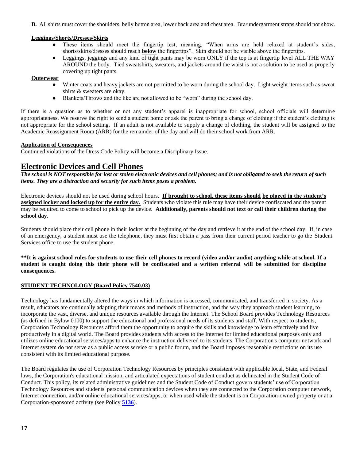**B.** All shirts must cover the shoulders, belly button area, lower back area and chest area. Bra/undergarment straps should not show.

#### **Leggings/Shorts/Dresses/Skirts**

- These items should meet the fingertip test, meaning, "When arms are held relaxed at student's sides, shorts/skirts/dresses should reach **below** the fingertips". Skin should not be visible above the fingertips.
- Leggings, jeggings and any kind of tight pants may be worn ONLY if the top is at fingertip level ALL THE WAY AROUND the body. Tied sweatshirts, sweaters, and jackets around the waist is not a solution to be used as properly covering up tight pants.

#### **Outerwear**

- Winter coats and heavy jackets are not permitted to be worn during the school day. Light weight items such as sweat shirts & sweaters are okay.
- Blankets/Throws and the like are not allowed to be "worn" during the school day.

If there is a question as to whether or not any student's apparel is inappropriate for school, school officials will determine appropriateness. We reserve the right to send a student home or ask the parent to bring a change of clothing if the student's clothing is not appropriate for the school setting. If an adult is not available to supply a change of clothing, the student will be assigned to the Academic Reassignment Room (ARR) for the remainder of the day and will do their school work from ARR.

#### **Application of Consequences**

Continued violations of the Dress Code Policy will become a Disciplinary Issue.

#### **Electronic Devices and Cell Phones**

*The school is NOT responsible for lost or stolen electronic devices and cell phones; and is not obligated to seek the return of such items. They are a distraction and security for such items poses a problem.* 

Electronic devices should not be used during school hours. **If brought to school, these items should be placed in the student's assigned locker and locked up for the entire day.** Students who violate this rule may have their device confiscated and the parent may be required to come to school to pick up the device. **Additionally, parents should not text or call their children during the school day.** 

Students should place their cell phone in their locker at the beginning of the day and retrieve it at the end of the school day. If, in case of an emergency, a student must use the telephone, they must first obtain a pass from their current period teacher to go the Student Services office to use the student phone.

**\*\*It is against school rules for students to use their cell phones to record (video and/or audio) anything while at school. If a student is caught doing this their phone will be confiscated and a written referral will be submitted for discipline consequences.** 

#### **STUDENT TECHNOLOGY (Board Policy 7540.03)**

Technology has fundamentally altered the ways in which information is accessed, communicated, and transferred in society. As a result, educators are continually adapting their means and methods of instruction, and the way they approach student learning, to incorporate the vast, diverse, and unique resources available through the Internet. The School Board provides Technology Resources (as defined in Bylaw 0100) to support the educational and professional needs of its students and staff. With respect to students, Corporation Technology Resources afford them the opportunity to acquire the skills and knowledge to learn effectively and live productively in a digital world. The Board provides students with access to the Internet for limited educational purposes only and utilizes online educational services/apps to enhance the instruction delivered to its students. The Corporation's computer network and Internet system do not serve as a public access service or a public forum, and the Board imposes reasonable restrictions on its use consistent with its limited educational purpose.

The Board regulates the use of Corporation Technology Resources by principles consistent with applicable local, State, and Federal laws, the Corporation's educational mission, and articulated expectations of student conduct as delineated in the Student Code of Conduct. This policy, its related administrative guidelines and the Student Code of Conduct govern students' use of Corporation Technology Resources and students' personal communication devices when they are connected to the Corporation computer network, Internet connection, and/or online educational services/apps, or when used while the student is on Corporation-owned property or at a Corporation-sponsored activity (see Policy **[5136](http://www.neola.com/msdlawrence-in/search/policies/po5136.htm)**).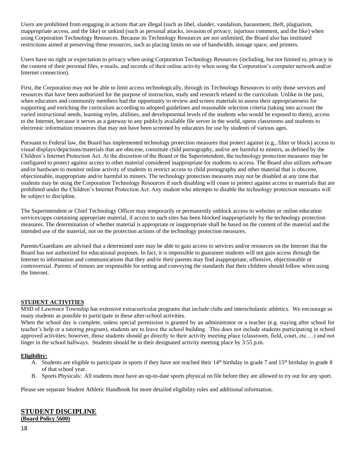Users are prohibited from engaging in actions that are illegal (such as libel, slander, vandalism, harassment, theft, plagiarism, inappropriate access, and the like) or unkind (such as personal attacks, invasion of privacy, injurious comment, and the like) when using Corporation Technology Resources. Because its Technology Resources are not unlimited, the Board also has instituted restrictions aimed at preserving these resources, such as placing limits on use of bandwidth, storage space, and printers.

Users have no right or expectation to privacy when using Corporation Technology Resources (including, but not limited to, privacy in the content of their personal files, e-mails, and records of their online activity when using the Corporation's computer network and/or Internet connection).

First, the Corporation may not be able to limit access technologically, through its Technology Resources to only those services and resources that have been authorized for the purpose of instruction, study and research related to the curriculum. Unlike in the past, when educators and community members had the opportunity to review and screen materials to assess their appropriateness for supporting and enriching the curriculum according to adopted guidelines and reasonable selection criteria (taking into account the varied instructional needs, learning styles, abilities, and developmental levels of the students who would be exposed to them), access to the Internet, because it serves as a gateway to any publicly available file server in the world, opens classrooms and students to electronic information resources that may not have been screened by educators for use by students of various ages.

Pursuant to Federal law, the Board has implemented technology protection measures that protect against (e.g., filter or block) access to visual displays/depictions/materials that are obscene, constitute child pornography, and/or are harmful to minors, as defined by the Children's Internet Protection Act. At the discretion of the Board or the Superintendent, the technology protection measures may be configured to protect against access to other material considered inappropriate for students to access. The Board also utilizes software and/or hardware to monitor online activity of students to restrict access to child pornography and other material that is obscene, objectionable, inappropriate and/or harmful to minors. The technology protection measures may not be disabled at any time that students may be using the Corporation Technology Resources if such disabling will cease to protect against access to materials that are prohibited under the Children's Internet Protection Act. Any student who attempts to disable the technology protection measures will be subject to discipline.

The Superintendent or Chief Technology Officer may temporarily or permanently unblock access to websites or online education services/apps containing appropriate material, if access to such sites has been blocked inappropriately by the technology protection measures. The determination of whether material is appropriate or inappropriate shall be based on the content of the material and the intended use of the material, not on the protection actions of the technology protection measures.

Parents/Guardians are advised that a determined user may be able to gain access to services and/or resources on the Internet that the Board has not authorized for educational purposes. In fact, it is impossible to guarantee students will not gain access through the Internet to information and communications that they and/or their parents may find inappropriate, offensive, objectionable or controversial. Parents of minors are responsible for setting and conveying the standards that their children should follow when using the Internet.

#### **STUDENT ACTIVITIES**

MSD of Lawrence Township has extensive extracurricular programs that include clubs and interscholastic athletics. We encourage as many students as possible to participate in these after-school activities.

When the school day is complete, unless special permission is granted by an administrator or a teacher (e.g. staying after school for teacher's help or a tutoring program), students are to leave the school building. This does not include students participating in school approved activities; however, those students should go directly to their activity meeting place (classroom, field, court, etc.…) and not linger in the school hallways. Students should be in their designated activity meeting place by 3:55 p.m.

#### **Eligibility:**

- A. Students are eligible to participate in sports if they have not reached their  $14<sup>th</sup>$  birthday in grade 7 and  $15<sup>th</sup>$  birthday in grade 8 of that school year.
- B. Sports Physicals: All students must have an up-to-date sports physical on file before they are allowed to try out for any sport.

Please see separate Student Athletic Handbook for more detailed eligibility rules and additional information.

#### **STUDENT DISCIPLINE**

**(Board Policy 5600)**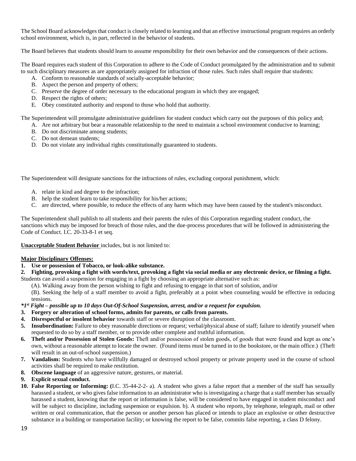The School Board acknowledges that conduct is closely related to learning and that an effective instructional program requires an orderly school environment, which is, in part, reflected in the behavior of students.

The Board believes that students should learn to assume responsibility for their own behavior and the consequences of their actions.

The Board requires each student of this Corporation to adhere to the Code of Conduct promulgated by the administration and to submit to such disciplinary measures as are appropriately assigned for infraction of those rules. Such rules shall require that students:

- A. Conform to reasonable standards of socially-acceptable behavior;
- B. Aspect the person and property of others;
- C. Preserve the degree of order necessary to the educational program in which they are engaged;
- D. Respect the rights of others;
- E. Obey constituted authority and respond to those who hold that authority.

The Superintendent will promulgate administrative guidelines for student conduct which carry out the purposes of this policy and;

- A. Are not arbitrary but bear a reasonable relationship to the need to maintain a school environment conducive to learning;
	- B. Do not discriminate among students;
	- C. Do not demean students;
	- D. Do not violate any individual rights constitutionally guaranteed to students.

The Superintendent will designate sanctions for the infractions of rules, excluding corporal punishment, which:

- A. relate in kind and degree to the infraction;
- B. help the student learn to take responsibility for his/her actions;
- C. are directed, where possible, to reduce the effects of any harm which may have been caused by the student's misconduct.

The Superintendent shall publish to all students and their parents the rules of this Corporation regarding student conduct, the sanctions which may be imposed for breach of those rules, and the due-process procedures that will be followed in administering the Code of Conduct. I.C. 20-33-8-1 et seq.

**Unacceptable Student Behavior** includes, but is not limited to:

#### **Major Disciplinary Offenses:**

- **1. Use or possession of Tobacco, or look-alike substance.**
- **2. Fighting, provoking a fight with words/text, provoking a fight via social media or any electronic device, or filming a fight.** Students can avoid a suspension for engaging in a fight by choosing an appropriate alternative such as:

(A). Walking away from the person wishing to fight and refusing to engage in that sort of solution, and/or

(B). Seeking the help of a staff member to avoid a fight, preferably at a point when counseling would be effective in reducing tensions.

- *\*1st Fight – possible up to 10 days Out-Of-School Suspension, arrest, and/or a request for expulsion.*
- **3. Forgery or alteration of school forms, admits for parents, or calls from parents.**
- **4. Disrespectful or insolent behavior** towards staff or severe disruption of the classroom.
- **5.** Insubordination: Failure to obey reasonable directions or request; verbal/physical abuse of staff; failure to identify yourself when requested to do so by a staff member, or to provide other complete and truthful information.
- **6. Theft and/or Possession of Stolen Goods:** Theft and/or possession of stolen goods, of goods that were found and kept as one's own, without a reasonable attempt to locate the owner. (Found items must be turned in to the bookstore, or the main office.) (Theft will result in an out-of-school suspension.)
- **7. Vandalism:** Students who have willfully damaged or destroyed school property or private property used in the course of school activities shall be required to make restitution.
- **8. Obscene language** of an aggressive nature, gestures, or material.
- **9. Explicit sexual conduct.**
- **10. False Reporting or Informing: (**I.C. 35-44-2-2- a). A student who gives a false report that a member of the staff has sexually harassed a student, or who gives false information to an administrator who is investigating a charge that a staff member has sexually harassed a student, knowing that the report or information is false, will be considered to have engaged in student misconduct and will be subject to discipline, including suspension or expulsion. b). A student who reports, by telephone, telegraph, mail or other written or oral communication, that the person or another person has placed or intends to place an explosive or other destructive substance in a building or transportation facility; or knowing the report to be false, commits false reporting, a class D felony.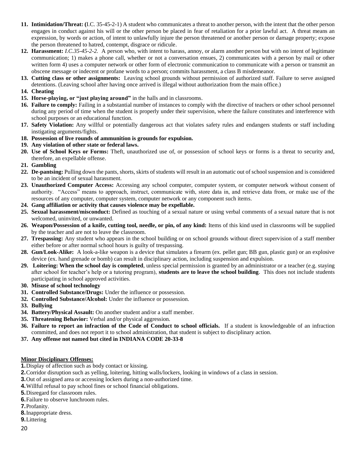- **11. Intimidation/Threat: (**I.C. 35-45-2-1) A student who communicates a threat to another person, with the intent that the other person engages in conduct against his will or the other person be placed in fear of retaliation for a prior lawful act. A threat means an expression, by words or action, of intent to unlawfully injure the person threatened or another person or damage property; expose the person threatened to hatred, contempt, disgrace or ridicule.
- **12. Harassment:** *I.C.35-45-2-2.* A person who, with intent to harass, annoy, or alarm another person but with no intent of legitimate communication; 1) makes a phone call, whether or not a conversation ensues, 2) communicates with a person by mail or other written form 4) uses a computer network or other form of electronic communication to communicate with a person or transmit an obscene message or indecent or profane words to a person; commits harassment, a class B misdemeanor.
- **13. Cutting class or other assignments:** Leaving school grounds without permission of authorized staff. Failure to serve assigned detentions. (Leaving school after having once arrived is illegal without authorization from the main office.)
- **14. Cheating**
- **15. Horse-playing, or "just playing around"** in the halls and in classrooms.
- **16. Failure to comply:** Failing in a substantial number of instances to comply with the directive of teachers or other school personnel during any period of time when the student is properly under their supervision, where the failure constitutes and interference with school purposes or an educational function.
- **17. Safety Violation:** Any willful or potentially dangerous act that violates safety rules and endangers students or staff including instigating arguments/fights.
- **18. Possession of live rounds of ammunition is grounds for expulsion.**
- **19. Any violation of other state or federal laws.**
- **20. Use of School Keys or Forms:** Theft, unauthorized use of, or possession of school keys or forms is a threat to security and, therefore, an expellable offense.
- **21. Gambling**
- **22. De-pantsing:**Pulling down the pants, shorts, skirts of students will result in an automatic out of school suspension and is considered to be an incident of sexual harassment.
- **23. Unauthorized Computer Access:** Accessing any school computer, computer system, or computer network without consent of authority. "Access" means to approach, instruct, communicate with, store data in, and retrieve data from, or make use of the resources of any computer, computer system, computer network or any component such items.
- **24. Gang affiliation or activity that causes violence may be expellable.**
- **25. Sexual harassment/misconduct:** Defined as touching of a sexual nature or using verbal comments of a sexual nature that is not welcomed, uninvited, or unwanted.
- **26. Weapon/Possession of a knife, cutting tool, needle, or pin, of any kind:** Items of this kind used in classrooms will be supplied by the teacher and are not to leave the classroom.
- **27. Trespassing:** Any student who appears in the school building or on school grounds without direct supervision of a staff member either before or after normal school hours is guilty of trespassing.
- **28. Gun/Look-Alike:** A look-a-like weapon is a device that simulates a firearm (ex. pellet gun; BB gun, plastic gun) or an explosive device (ex. hand grenade or bomb) can result in disciplinary action, including suspension and expulsion.
- **29. Loitering: When the school day is completed**, unless special permission is granted by an administrator or a teacher (e.g. staying after school for teacher's help or a tutoring program), **students are to leave the school building**. This does not include students participating in school approved activities.
- **30. Misuse of school technology**
- **31. Controlled Substance/Drugs:** Under the influence or possession.
- **32. Controlled Substance/Alcohol:** Under the influence or possession.
- **33. Bullying**
- **34. Battery/Physical Assault:** On another student and/or a staff member.
- **35. Threatening Behavior:** Verbal and/or physical aggression.
- **36. Failure to report an infraction of the Code of Conduct to school officials.** If a student is knowledgeable of an infraction committed, and does not report it to school administration, that student is subject to disciplinary action.
- **37. Any offense not named but cited in INDIANA CODE 20-33-8**

#### **Minor Disciplinary Offenses:**

- **1.**Display of affection such as body contact or kissing.
- **2.**Corridor disruption such as yelling, loitering, hitting walls/lockers, looking in windows of a class in session.
- **3.**Out of assigned area or accessing lockers during a non-authorized time.
- **4.**Willful refusal to pay school fines or school financial obligations.
- **5.**Disregard for classroom rules.
- **6.**Failure to observe lunchroom rules.
- **7.**Profanity.
- **8.**Inappropriate dress.
- **9.**Littering
- 20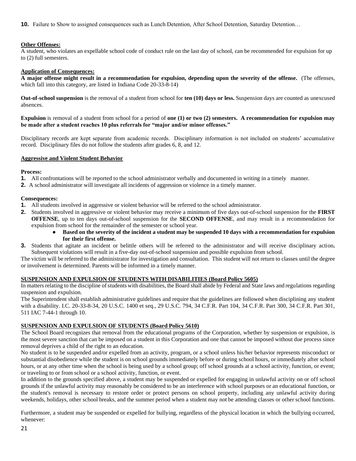**10.** Failure to Show to assigned consequences such as Lunch Detention, After School Detention, Saturday Detention…

#### **Other Offenses:**

A student, who violates an expellable school code of conduct rule on the last day of school, can be recommended for expulsion for up to (2) full semesters.

#### **Application of Consequences:**

**A major offense might result in a recommendation for expulsion, depending upon the severity of the offense.** (The offenses, which fall into this category, are listed in Indiana Code 20-33-8-14)

**Out-of-school suspension** is the removal of a student from school for **ten (10) days or less.** Suspension days are counted as unexcused absences.

**Expulsion** is removal of a student from school for a period of **one (1) or two (2) semesters. A recommendation for expulsion may be made after a student reaches 10 plus referrals for "major and/or minor offenses."** 

Disciplinary records are kept separate from academic records. Disciplinary information is not included on students' accumulative record. Disciplinary files do not follow the students after grades 6, 8, and 12.

#### **Aggressive and Violent Student Behavior**

#### **Process:**

- **1.** All confrontations will be reported to the school administrator verbally and documented in writing in a timely manner.
- **2.** A school administrator will investigate all incidents of aggression or violence in a timely manner.

#### **Consequences:**

- **1.** All students involved in aggressive or violent behavior will be referred to the school administrator.
- **2.** Students involved in aggressive or violent behavior may receive a minimum of five days out-of-school suspension for the **FIRST OFFENSE**, up to ten days out-of-school suspension for the **SECOND OFFENSE**, and may result in a recommendation for expulsion from school for the remainder of the semester or school year.
	- **Based on the severity of the incident a student may be suspended 10 days with a recommendation for expulsion for their first offense.**
- **3.** Students that agitate an incident or belittle others will be referred to the administrator and will receive disciplinary action**.** Subsequent violations will result in a five-day out-of-school suspension and possible expulsion from school.

The victim will be referred to the administrator for investigation and consultation. This student will not return to classes until the degree or involvement is determined. Parents will be informed in a timely manner.

#### **SUSPENSION AND EXPULSION OF STUDENTS WITH DISABILITIES (Board Policy 5605)**

In matters relating to the discipline of students with disabilities, the Board shall abide by Federal and State laws and regulations regarding suspension and expulsion.

The Superintendent shall establish administrative guidelines and require that the guidelines are followed when disciplining any student with a disability. I.C. 20-33-8-34, 20 U.S.C. 1400 et seq., 29 U.S.C. 794, 34 C.F.R. Part 104, 34 C.F.R. Part 300, 34 C.F.R. Part 301, 511 IAC 7-44-1 through 10.

#### **SUSPENSION AND EXPULSION OF STUDENTS (Board Policy 5610)**

The School Board recognizes that removal from the educational programs of the Corporation, whether by suspension or expulsion, is the most severe sanction that can be imposed on a student in this Corporation and one that cannot be imposed without due process since removal deprives a child of the right to an education.

No student is to be suspended and/or expelled from an activity, program, or a school unless his/her behavior represents misconduct or substantial disobedience while the student is on school grounds immediately before or during school hours, or immediately after school hours, or at any other time when the school is being used by a school group; off school grounds at a school activity, function, or event; or traveling to or from school or a school activity, function, or event.

In addition to the grounds specified above, a student may be suspended or expelled for engaging in unlawful activity on or off school grounds if the unlawful activity may reasonably be considered to be an interference with school purposes or an educational function, or the student's removal is necessary to restore order or protect persons on school property, including any unlawful activity during weekends, holidays, other school breaks, and the summer period when a student may not be attending classes or other school functions.

Furthermore, a student may be suspended or expelled for bullying, regardless of the physical location in which the bullying occurred, whenever: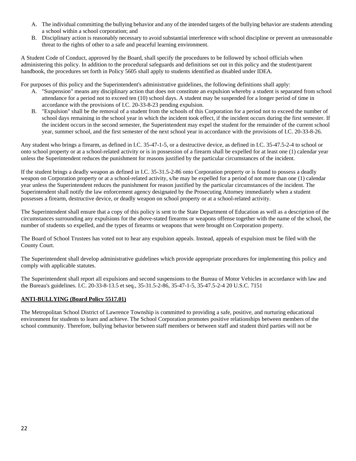- A. The individual committing the bullying behavior and any of the intended targets of the bullying behavior are students attending a school within a school corporation; and
- B. Disciplinary action is reasonably necessary to avoid substantial interference with school discipline or prevent an unreasonable threat to the rights of other to a safe and peaceful learning environment.

A Student Code of Conduct, approved by the Board, shall specify the procedures to be followed by school officials when administering this policy. In addition to the procedural safeguards and definitions set out in this policy and the student/parent handbook, the procedures set forth in Policy 5605 shall apply to students identified as disabled under IDEA.

For purposes of this policy and the Superintendent's administrative guidelines, the following definitions shall apply:

- A. "Suspension" means any disciplinary action that does not constitute an expulsion whereby a student is separated from school attendance for a period not to exceed ten (10) school days. A student may be suspended for a longer period of time in accordance with the provisions of I.C. 20-33-8-23 pending expulsion.
- B. "Expulsion" shall be the removal of a student from the schools of this Corporation for a period not to exceed the number of school days remaining in the school year in which the incident took effect, if the incident occurs during the first semester. If the incident occurs in the second semester, the Superintendent may expel the student for the remainder of the current school year, summer school, and the first semester of the next school year in accordance with the provisions of I.C. 20-33-8-26.

Any student who brings a firearm, as defined in I.C. 35-47-1-5, or a destructive device, as defined in I.C. 35-47.5-2-4 to school or onto school property or at a school-related activity or is in possession of a firearm shall be expelled for at least one (1) calendar year unless the Superintendent reduces the punishment for reasons justified by the particular circumstances of the incident.

If the student brings a deadly weapon as defined in I.C. 35-31.5-2-86 onto Corporation property or is found to possess a deadly weapon on Corporation property or at a school-related activity, s/he may be expelled for a period of not more than one (1) calendar year unless the Superintendent reduces the punishment for reason justified by the particular circumstances of the incident. The Superintendent shall notify the law enforcement agency designated by the Prosecuting Attorney immediately when a student possesses a firearm, destructive device, or deadly weapon on school property or at a school-related activity.

The Superintendent shall ensure that a copy of this policy is sent to the State Department of Education as well as a description of the circumstances surrounding any expulsions for the above-stated firearms or weapons offense together with the name of the school, the number of students so expelled, and the types of firearms or weapons that were brought on Corporation property.

The Board of School Trustees has voted not to hear any expulsion appeals. Instead, appeals of expulsion must be filed with the County Court.

The Superintendent shall develop administrative guidelines which provide appropriate procedures for implementing this policy and comply with applicable statutes.

The Superintendent shall report all expulsions and second suspensions to the Bureau of Motor Vehicles in accordance with law and the Bureau's guidelines. I.C. 20-33-8-13.5 et seq., 35-31.5-2-86, 35-47-1-5, 35-47.5-2-4 20 U.S.C. 7151

#### **ANTI-BULLYING (Board Policy 5517.01)**

The Metropolitan School District of Lawrence Township is committed to providing a safe, positive, and nurturing educational environment for students to learn and achieve. The School Corporation promotes positive relationships between members of the school community. Therefore, bullying behavior between staff members or between staff and student third parties will not be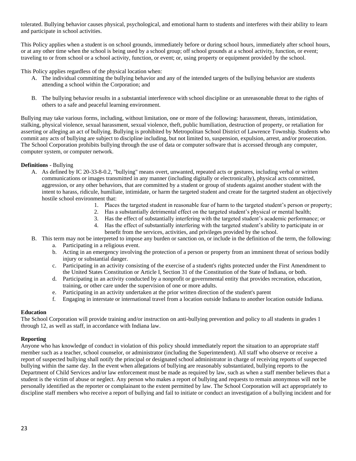tolerated. Bullying behavior causes physical, psychological, and emotional harm to students and interferes with their ability to learn and participate in school activities.

This Policy applies when a student is on school grounds, immediately before or during school hours, immediately after school hours, or at any other time when the school is being used by a school group; off school grounds at a school activity, function, or event; traveling to or from school or a school activity, function, or event; or, using property or equipment provided by the school.

This Policy applies regardless of the physical location when:

- A. The individual committing the bullying behavior and any of the intended targets of the bullying behavior are students attending a school within the Corporation; and
- B. The bullying behavior results in a substantial interference with school discipline or an unreasonable threat to the rights of others to a safe and peaceful learning environment.

Bullying may take various forms, including, without limitation, one or more of the following: harassment, threats, intimidation, stalking, physical violence, sexual harassment, sexual violence, theft, public humiliation, destruction of property, or retaliation for asserting or alleging an act of bullying. Bullying is prohibited by Metropolitan School District of Lawrence Township. Students who commit any acts of bullying are subject to discipline including, but not limited to, suspension, expulsion, arrest, and/or prosecution. The School Corporation prohibits bullying through the use of data or computer software that is accessed through any computer, computer system, or computer network.

#### **Definitions** - Bullying

- A. As defined by IC 20-33-8-0.2, "bullying" means overt, unwanted, repeated acts or gestures, including verbal or written communications or images transmitted in any manner (including digitally or electronically), physical acts committed, aggression, or any other behaviors, that are committed by a student or group of students against another student with the intent to harass, ridicule, humiliate, intimidate, or harm the targeted student and create for the targeted student an objectively hostile school environment that:
	- 1. Places the targeted student in reasonable fear of harm to the targeted student's person or property;
	- 2. Has a substantially detrimental effect on the targeted student's physical or mental health;
	- 3. Has the effect of substantially interfering with the targeted student's academic performance; or
	- 4. Has the effect of substantially interfering with the targeted student's ability to participate in or benefit from the services, activities, and privileges provided by the school.
- B. This term may not be interpreted to impose any burden or sanction on, or include in the definition of the term, the following: a. Participating in a religious event.
	- b. Acting in an emergency involving the protection of a person or property from an imminent threat of serious bodily injury or substantial danger.
	- c. Participating in an activity consisting of the exercise of a student's rights protected under the First Amendment to the United States Constitution or Article I, Section 31 of the Constitution of the State of Indiana, or both.
	- d. Participating in an activity conducted by a nonprofit or governmental entity that provides recreation, education, training, or other care under the supervision of one or more adults.
	- e. Participating in an activity undertaken at the prior written direction of the student's parent
	- f. Engaging in interstate or international travel from a location outside Indiana to another location outside Indiana.

#### **Education**

The School Corporation will provide training and/or instruction on anti-bullying prevention and policy to all students in grades 1 through 12, as well as staff, in accordance with Indiana law.

#### **Reporting**

Anyone who has knowledge of conduct in violation of this policy should immediately report the situation to an appropriate staff member such as a teacher, school counselor, or administrator (including the Superintendent). All staff who observe or receive a report of suspected bullying shall notify the principal or designated school administrator in charge of receiving reports of suspected bullying within the same day. In the event when allegations of bullying are reasonably substantiated, bullying reports to the Department of Child Services and/or law enforcement must be made as required by law, such as when a staff member believes that a student is the victim of abuse or neglect. Any person who makes a report of bullying and requests to remain anonymous will not be personally identified as the reporter or complainant to the extent permitted by law. The School Corporation will act appropriately to discipline staff members who receive a report of bullying and fail to initiate or conduct an investigation of a bullying incident and for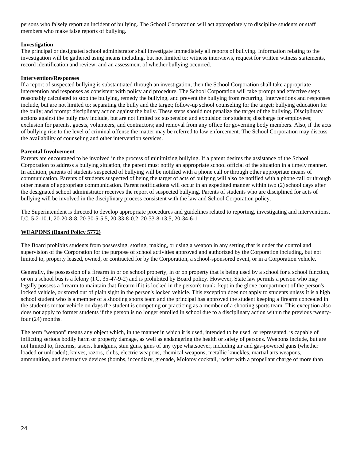persons who falsely report an incident of bullying. The School Corporation will act appropriately to discipline students or staff members who make false reports of bullying.

#### **Investigation**

The principal or designated school administrator shall investigate immediately all reports of bullying. Information relating to the investigation will be gathered using means including, but not limited to: witness interviews, request for written witness statements, record identification and review, and an assessment of whether bullying occurred.

#### **Intervention/Responses**

If a report of suspected bullying is substantiated through an investigation, then the School Corporation shall take appropriate intervention and responses as consistent with policy and procedure. The School Corporation will take prompt and effective steps reasonably calculated to stop the bullying, remedy the bullying, and prevent the bullying from recurring. Interventions and responses include, but are not limited to: separating the bully and the target; follow-up school counseling for the target; bullying education for the bully; and prompt disciplinary action against the bully. These steps should not penalize the target of the bullying. Disciplinary actions against the bully may include, but are not limited to: suspension and expulsion for students; discharge for employees; exclusion for parents, guests, volunteers, and contractors; and removal from any office for governing body members. Also, if the acts of bullying rise to the level of criminal offense the matter may be referred to law enforcement. The School Corporation may discuss the availability of counseling and other intervention services.

#### **Parental Involvement**

Parents are encouraged to be involved in the process of minimizing bullying. If a parent desires the assistance of the School Corporation to address a bullying situation, the parent must notify an appropriate school official of the situation in a timely manner. In addition, parents of students suspected of bullying will be notified with a phone call or through other appropriate means of communication. Parents of students suspected of being the target of acts of bullying will also be notified with a phone call or through other means of appropriate communication. Parent notifications will occur in an expedited manner within two (2) school days after the designated school administrator receives the report of suspected bullying. Parents of students who are disciplined for acts of bullying will be involved in the disciplinary process consistent with the law and School Corporation policy.

The Superintendent is directed to develop appropriate procedures and guidelines related to reporting, investigating and interventions. I.C. 5-2-10.1, 20-20-8-8, 20-30-5-5.5, 20-33-8-0.2, 20-33-8-13.5, 20-34-6-1

#### **WEAPONS (Board Policy 5772)**

The Board prohibits students from possessing, storing, making, or using a weapon in any setting that is under the control and supervision of the Corporation for the purpose of school activities approved and authorized by the Corporation including, but not limited to, property leased, owned, or contracted for by the Corporation, a school-sponsored event, or in a Corporation vehicle.

Generally, the possession of a firearm in or on school property, in or on property that is being used by a school for a school function, or on a school bus is a felony (I.C. 35-47-9-2) and is prohibited by Board policy. However, State law permits a person who may legally possess a firearm to maintain that firearm if it is locked in the person's trunk, kept in the glove compartment of the person's locked vehicle, or stored out of plain sight in the person's locked vehicle. This exception does not apply to students unless it is a high school student who is a member of a shooting sports team and the principal has approved the student keeping a firearm concealed in the student's motor vehicle on days the student is competing or practicing as a member of a shooting sports team. This exception also does not apply to former students if the person is no longer enrolled in school due to a disciplinary action within the previous twentyfour (24) months.

The term "weapon" means any object which, in the manner in which it is used, intended to be used, or represented, is capable of inflicting serious bodily harm or property damage, as well as endangering the health or safety of persons. Weapons include, but are not limited to, firearms, tasers, handguns, stun guns, guns of any type whatsoever, including air and gas-powered guns (whether loaded or unloaded), knives, razors, clubs, electric weapons, chemical weapons, metallic knuckles, martial arts weapons, ammunition, and destructive devices (bombs, incendiary, grenade, Molotov cocktail, rocket with a propellant charge of more than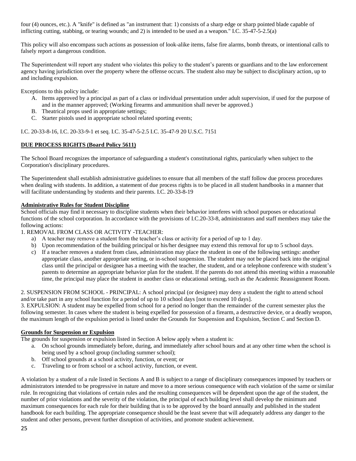four (4) ounces, etc.). A "knife" is defined as "an instrument that: 1) consists of a sharp edge or sharp pointed blade capable of inflicting cutting, stabbing, or tearing wounds; and 2) is intended to be used as a weapon." I.C. 35-47-5-2.5(a)

This policy will also encompass such actions as possession of look-alike items, false fire alarms, bomb threats, or intentional calls to falsely report a dangerous condition.

The Superintendent will report any student who violates this policy to the student's parents or guardians and to the law enforcement agency having jurisdiction over the property where the offense occurs. The student also may be subject to disciplinary action, up to and including expulsion.

Exceptions to this policy include:

- A. Items approved by a principal as part of a class or individual presentation under adult supervision, if used for the purpose of and in the manner approved; (Working firearms and ammunition shall never be approved.)
- B. Theatrical props used in appropriate settings;
- C. Starter pistols used in appropriate school related sporting events;

I.C. 20-33-8-16, I.C. 20-33-9-1 et seq. I.C. 35-47-5-2.5 I.C. 35-47-9 20 U.S.C. 7151

#### **DUE PROCESS RIGHTS (Board Policy 5611)**

The School Board recognizes the importance of safeguarding a student's constitutional rights, particularly when subject to the Corporation's disciplinary procedures.

The Superintendent shall establish administrative guidelines to ensure that all members of the staff follow due process procedures when dealing with students. In addition, a statement of due process rights is to be placed in all student handbooks in a manner that will facilitate understanding by students and their parents. I.C. 20-33-8-19

#### **Administrative Rules for Student Discipline**

School officials may find it necessary to discipline students when their behavior interferes with school purposes or educational functions of the school corporation. In accordance with the provisions of I.C.20-33-8, administrators and staff members may take the following actions:

#### 1. REMOVAL FROM CLASS OR ACTIVITY -TEACHER:

- a) A teacher may remove a student from the teacher's class or activity for a period of up to 1 day.
- b) Upon recommendation of the building principal or his/her designee may extend this removal for up to 5 school days.
- c) If a teacher removes a student from class, administration may place the student in one of the following settings: another appropriate class, another appropriate setting, or in-school suspension. The student may not be placed back into the original class until the principal or designee has a meeting with the teacher, the student, and or a telephone conference with student's parents to determine an appropriate behavior plan for the student. If the parents do not attend this meeting within a reasonable time, the principal may place the student in another class or educational setting, such as the Academic Reassignment Room.

2. SUSPENSION FROM SCHOOL - PRINCIPAL: A school principal (or designee) may deny a student the right to attend school and/or take part in any school function for a period of up to 10 school days [not to exceed 10 days].

3. EXPULSION: A student may be expelled from school for a period no longer than the remainder of the current semester plus the following semester. In cases where the student is being expelled for possession of a firearm, a destructive device, or a deadly weapon, the maximum length of the expulsion period is listed under the Grounds for Suspension and Expulsion, Section C and Section D.

#### **Grounds for Suspension or Expulsion**

The grounds for suspension or expulsion listed in Section A below apply when a student is:

- a. On school grounds immediately before, during, and immediately after school hours and at any other time when the school is being used by a school group (including summer school);
- b. Off school grounds at a school activity, function, or event; or
- c. Traveling to or from school or a school activity, function, or event.

A violation by a student of a rule listed in Sections A and B is subject to a range of disciplinary consequences imposed by teachers or administrators intended to be progressive in nature and move to a more serious consequence with each violation of the same or similar rule. In recognizing that violations of certain rules and the resulting consequences will be dependent upon the age of the student, the number of prior violations and the severity of the violation, the principal of each building level shall develop the minimum and maximum consequences for each rule for their building that is to be approved by the board annually and published in the student handbook for each building. The appropriate consequence should be the least severe that will adequately address any danger to the student and other persons, prevent further disruption of activities, and promote student achievement.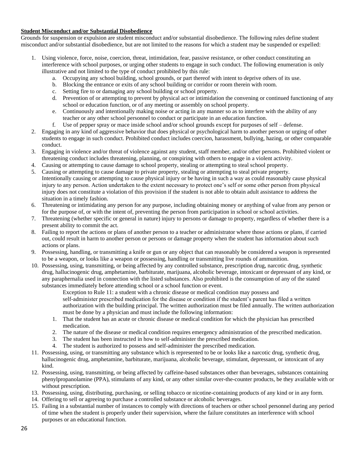#### **Student Misconduct and/or Substantial Disobedience**

Grounds for suspension or expulsion are student misconduct and/or substantial disobedience. The following rules define student misconduct and/or substantial disobedience, but are not limited to the reasons for which a student may be suspended or expelled:

- 1. Using violence, force, noise, coercion, threat, intimidation, fear, passive resistance, or other conduct constituting an interference with school purposes, or urging other students to engage in such conduct. The following enumeration is only illustrative and not limited to the type of conduct prohibited by this rule:
	- a. Occupying any school building, school grounds, or part thereof with intent to deprive others of its use.
	- b. Blocking the entrance or exits of any school building or corridor or room therein with room.
	- c. Setting fire to or damaging any school building or school property.
	- d. Prevention of or attempting to prevent by physical act or intimidation the convening or continued functioning of any school or education function, or of any meeting or assembly on school property.
	- e. Continuously and intentionally making noise or acting in any manner so as to interfere with the ability of any teacher or any other school personnel to conduct or participate in an education function.
	- f. Use of pepper spray or mace inside school and/or school grounds except for purposes of self defense.
- 2. Engaging in any kind of aggressive behavior that does physical or psychological harm to another person or urging of other students to engage in such conduct. Prohibited conduct includes coercion, harassment, bullying, hazing, or other comparable conduct.
- 3. Engaging in violence and/or threat of violence against any student, staff member, and/or other persons. Prohibited violent or threatening conduct includes threatening, planning, or conspiring with others to engage in a violent activity.
- 4. Causing or attempting to cause damage to school property, stealing or attempting to steal school property.
- 5. Causing or attempting to cause damage to private property, stealing or attempting to steal private property. Intentionally causing or attempting to cause physical injury or be having in such a way as could reasonably cause physical injury to any person. Action undertaken to the extent necessary to protect one's self or some other person from physical injury does not constitute a violation of this provision if the student is not able to obtain adult assistance to address the situation in a timely fashion.
- 6. Threatening or intimidating any person for any purpose, including obtaining money or anything of value from any person or for the purpose of, or with the intent of, preventing the person from participation in school or school activities.
- 7. Threatening (whether specific or general in nature) injury to persons or damage to property, regardless of whether there is a present ability to commit the act.
- 8. Failing to report the actions or plans of another person to a teacher or administrator where those actions or plans, if carried out, could result in harm to another person or persons or damage property when the student has information about such actions or plans.
- 9. Possessing, handling, or transmitting a knife or gun or any object that can reasonably be considered a weapon is represented to be a weapon, or looks like a weapon or possessing, handling or transmitting live rounds of ammunition.
- 10. Possessing, using, transmitting, or being affected by any controlled substance, prescription drug, narcotic drug, synthetic drug, hallucinogenic drug, amphetamine, barbiturate, marijuana, alcoholic beverage, intoxicant or depressant of any kind, or any paraphernalia used in connection with the listed substances. Also prohibited is the consumption of any of the stated substances immediately before attending school or a school function or event.

Exception to Rule 11: a student with a chronic disease or medical condition may possess and self-administer prescribed medication for the disease or condition if the student's parent has filed a written authorization with the building principal. The written authorization must be filed annually. The written authorization must be done by a physician and must include the following information:

- 1. That the student has an acute or chronic disease or medical condition for which the physician has prescribed medication.
- 2. The nature of the disease or medical condition requires emergency administration of the prescribed medication.
- 3. The student has been instructed in how to self-administer the prescribed medication.
- 4. The student is authorized to possess and self-administer the prescribed medication.
- 11. Possessing, using, or transmitting any substance which is represented to be or looks like a narcotic drug, synthetic drug, hallucinogenic drug, amphetamine, barbiturate, marijuana, alcoholic beverage, stimulant, depressant, or intoxicant of any kind.
- 12. Possessing, using, transmitting, or being affected by caffeine-based substances other than beverages, substances containing phenylpropanolamine (PPA), stimulants of any kind, or any other similar over-the-counter products, be they available with or without prescription.
- 13. Possessing, using, distributing, purchasing, or selling tobacco or nicotine-containing products of any kind or in any form.
- 14. Offering to sell or agreeing to purchase a controlled substance or alcoholic beverages.
- 15. Failing in a substantial number of instances to comply with directions of teachers or other school personnel during any period of time when the student is properly under their supervision, where the failure constitutes an interference with school purposes or an educational function.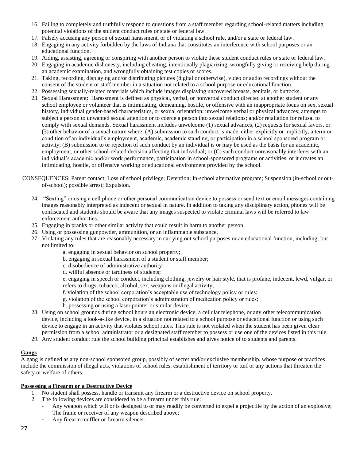- 16. Failing to completely and truthfully respond to questions from a staff member regarding school-related matters including potential violations of the student conduct rules or state or federal law.
- 17. Falsely accusing any person of sexual harassment, or of violating a school rule, and/or a state or federal law.
- 18. Engaging in any activity forbidden by the laws of Indiana that constitutes an interference with school purposes or an educational function.
- 19. Aiding, assisting, agreeing or conspiring with another person to violate these student conduct rules or state or federal law.

20. Engaging in academic dishonesty, including cheating, intentionally plagiarizing, wrongfully giving or receiving help during an academic examination, and wrongfully obtaining test copies or scores.

- 21. Taking, recording, displaying and/or distributing pictures (digital or otherwise), video or audio recordings without the consent of the student or staff member in a situation not related to a school purpose or educational function.
- 22. Possessing sexually-related materials which include images displaying uncovered breasts, genitals, or buttocks.
- 23. Sexual Harassment: Harassment is defined as physical, verbal, or nonverbal conduct directed at another student or any school employee or volunteer that is intimidating, demeaning, hostile, or offensive with an inappropriate focus on sex, sexual history, individual gender-based characteristics, or sexual orientation; unwelcome verbal or physical advances; attempts to subject a person to unwanted sexual attention or to coerce a person into sexual relations; and/or retaliation for refusal to comply with sexual demands. Sexual harassment includes unwelcome (1) sexual advances, (2) requests for sexual favors, or (3) other behavior of a sexual nature where: (A) submission to such conduct is made, either explicitly or implicitly, a term or condition of an individual's employment, academic, academic standing, or participation in a school sponsored program or activity; (B) submission to or rejection of such conduct by an individual is or may be used as the basis for an academic, employment, or other school-related decision affecting that individual; or (C) such conduct unreasonably interferes with an individual's academic and/or work performance, participation in school-sponsored programs or activities, or it creates an intimidating, hostile, or offensive working or educational environment provided by the school.

#### CONSEQUENCES: Parent contact; Loss of school privilege; Detention; In-school alternative program; Suspension (in-school or outof-school); possible arrest; Expulsion.

- 24. "Sexting" or using a cell phone or other personal communication device to possess or send text or email messages containing images reasonably interpreted as indecent or sexual in nature. In addition to taking any disciplinary action, phones will be confiscated and students should be aware that any images suspected to violate criminal laws will be referred to law enforcement authorities.
- 25. Engaging in pranks or other similar activity that could result in harm to another person.
- 26. Using or possessing gunpowder, ammunition, or an inflammable substance.
- 27. Violating any rules that are reasonably necessary in carrying out school purposes or an educational function, including, but not limited to:
	- a. engaging in sexual behavior on school property;
	- b. engaging in sexual harassment of a student or staff member;
	- c. disobedience of administrative authority;
	- d. willful absence or tardiness of students;

e. engaging in speech or conduct, including clothing, jewelry or hair style, that is profane, indecent, lewd, vulgar, or refers to drugs, tobacco, alcohol, sex, weapons or illegal activity;

- f. violation of the school corporation's acceptable use of technology policy or rules;
- g. violation of the school corporation's administration of medication policy or rules;
- h. possessing or using a laser pointer or similar device.
- 28. Using on school grounds during school hours an electronic device, a cellular telephone, or any other telecommunication device, including a look-a-like device, in a situation not related to a school purpose or educational function or using such device to engage in an activity that violates school rules. This rule is not violated when the student has been given clear permission from a school administrator or a designated staff member to possess or use one of the devices listed in this rule.
- 29. Any student conduct rule the school building principal establishes and gives notice of to students and parents.

#### **Gangs**

A gang is defined as any non-school sponsored group, possibly of secret and/or exclusive membership, whose purpose or practices include the commission of illegal acts, violations of school rules, establishment of territory or turf or any actions that threaten the safety or welfare of others.

#### **Possessing a Firearm or a Destructive Device**

- 1. No student shall possess, handle or transmit any firearm or a destructive device on school property.
- 2. The following devices are considered to be a firearm under this rule:
	- Any weapon which will or is designed to or may readily be converted to expel a projectile by the action of an explosive;
	- The frame or receiver of any weapon described above;
	- Any firearm muffler or firearm silencer;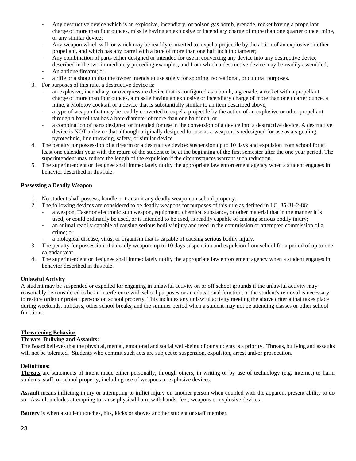- Any destructive device which is an explosive, incendiary, or poison gas bomb, grenade, rocket having a propellant charge of more than four ounces, missile having an explosive or incendiary charge of more than one quarter ounce, mine, or any similar device;
- Any weapon which will, or which may be readily converted to, expel a projectile by the action of an explosive or other propellant, and which has any barrel with a bore of more than one half inch in diameter;
- Any combination of parts either designed or intended for use in converting any device into any destructive device described in the two immediately preceding examples, and from which a destructive device may be readily assembled;
- An antique firearm; or
- a rifle or a shotgun that the owner intends to use solely for sporting, recreational, or cultural purposes.
- 3. For purposes of this rule, a destructive device is:
	- an explosive, incendiary, or overpressure device that is configured as a bomb, a grenade, a rocket with a propellant charge of more than four ounces, a missile having an explosive or incendiary charge of more than one quarter ounce, a mine, a Molotov cocktail or a device that is substantially similar to an item described above,
	- a type of weapon that may be readily converted to expel a projectile by the action of an explosive or other propellant through a barrel that has a bore diameter of more than one half inch, or
	- a combination of parts designed or intended for use in the conversion of a device into a destructive device. A destructive device is NOT a device that although originally designed for use as a weapon, is redesigned for use as a signaling, pyrotechnic, line throwing, safety, or similar device.
- 4. The penalty for possession of a firearm or a destructive device: suspension up to 10 days and expulsion from school for at least one calendar year with the return of the student to be at the beginning of the first semester after the one year period. The superintendent may reduce the length of the expulsion if the circumstances warrant such reduction.
- 5. The superintendent or designee shall immediately notify the appropriate law enforcement agency when a student engages in behavior described in this rule.

#### **Possessing a Deadly Weapon**

- 1. No student shall possess, handle or transmit any deadly weapon on school property.
- 2. The following devices are considered to be deadly weapons for purposes of this rule as defined in I.C. 35-31-2-86:
	- a weapon, Taser or electronic stun weapon, equipment, chemical substance, or other material that in the manner it is used, or could ordinarily be used, or is intended to be used, is readily capable of causing serious bodily injury;
	- an animal readily capable of causing serious bodily injury and used in the commission or attempted commission of a crime; or
	- a biological disease, virus, or organism that is capable of causing serious bodily injury.
- 3. The penalty for possession of a deadly weapon: up to 10 days suspension and expulsion from school for a period of up to one calendar year.
- 4. The superintendent or designee shall immediately notify the appropriate law enforcement agency when a student engages in behavior described in this rule.

#### **Unlawful Activity**

A student may be suspended or expelled for engaging in unlawful activity on or off school grounds if the unlawful activity may reasonably be considered to be an interference with school purposes or an educational function, or the student's removal is necessary to restore order or protect persons on school property. This includes any unlawful activity meeting the above criteria that takes place during weekends, holidays, other school breaks, and the summer period when a student may not be attending classes or other school functions.

#### **Threatening Behavior**

#### **Threats, Bullying and Assaults:**

The Board believes that the physical, mental, emotional and social well-being of our students is a priority. Threats, bullying and assaults will not be tolerated. Students who commit such acts are subject to suspension, expulsion, arrest and/or prosecution.

#### **Definitions:**

**Threats** are statements of intent made either personally, through others, in writing or by use of technology (e.g. internet) to harm students, staff, or school property, including use of weapons or explosive devices.

**Assault** means inflicting injury or attempting to inflict injury on another person when coupled with the apparent present ability to do so. Assault includes attempting to cause physical harm with hands, feet, weapons or explosive devices.

**Battery** is when a student touches, hits, kicks or shoves another student or staff member.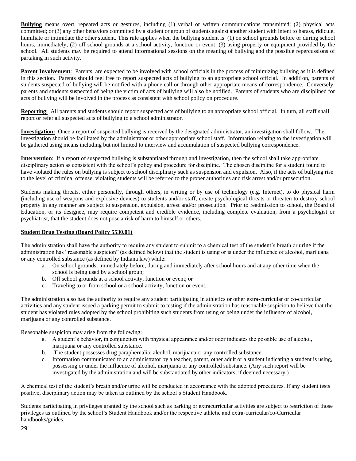**Bullying** means overt, repeated acts or gestures, including (1) verbal or written communications transmitted; (2) physical acts committed; or (3) any other behaviors committed by a student or group of students against another student with intent to harass, ridicule, humiliate or intimidate the other student. This rule applies when the bullying student is: (1) on school grounds before or during school hours, immediately; (2) off school grounds at a school activity, function or event; (3) using property or equipment provided by the school. All students may be required to attend informational sessions on the meaning of bullying and the possible repercussions of partaking in such activity.

**Parent Involvement**: Parents, are expected to be involved with school officials in the process of minimizing bullying as it is defined in this section. Parents should feel free to report suspected acts of bullying to an appropriate school official. In addition, parents of students suspected of bullying will be notified with a phone call or through other appropriate means of correspondence. Conversely, parents and students suspected of being the victim of acts of bullying will also be notified. Parents of students who are disciplined for acts of bullying will be involved in the process as consistent with school policy on procedure.

**Reporting**: All parents and students should report suspected acts of bullying to an appropriate school official. In turn, all staff shall report or refer all suspected acts of bullying to a school administrator.

**Investigation:** Once a report of suspected bullying is received by the designated administrator, an investigation shall follow. The investigation should be facilitated by the administrator or other appropriate school staff. Information relating to the investigation will be gathered using means including but not limited to interview and accumulation of suspected bullying correspondence.

**Intervention**: If a report of suspected bullying is substantiated through and investigation, then the school shall take appropriate disciplinary action as consistent with the school's policy and procedure for discipline. The chosen discipline for a student found to have violated the rules on bullying is subject to school disciplinary such as suspension and expulsion. Also, if the acts of bullying rise to the level of criminal offense, violating students will be referred to the proper authorities and risk arrest and/or prosecution.

Students making threats, either personally, through others, in writing or by use of technology (e.g. Internet), to do physical harm (including use of weapons and explosive devices) to students and/or staff, create psychological threats or threaten to destroy school property in any manner are subject to suspension, expulsion, arrest and/or prosecution. Prior to readmission to school, the Board of Education, or its designee, may require competent and credible evidence, including complete evaluation, from a psychologist or psychiatrist, that the student does not pose a risk of harm to himself or others.

#### **Student Drug Testing (Board Policy 5530.01)**

The administration shall have the authority to require any student to submit to a chemical test of the student's breath or urine if the administration has "reasonable suspicion" (as defined below) that the student is using or is under the influence of alcohol, marijuana or any controlled substance (as defined by Indiana law) while:

- a. On school grounds, immediately before, during and immediately after school hours and at any other time when the school is being used by a school group;
- b. Off school grounds at a school activity, function or event; or
- c. Traveling to or from school or a school activity, function or event.

The administration also has the authority to require any student participating in athletics or other extra-curricular or co-curricular activities and any student issued a parking permit to submit to testing if the administration has reasonable suspicion to believe that the student has violated rules adopted by the school prohibiting such students from using or being under the influence of alcohol, marijuana or any controlled substance.

Reasonable suspicion may arise from the following:

- a. A student's behavior, in conjunction with physical appearance and/or odor indicates the possible use of alcohol, marijuana or any controlled substance.
- b. The student possesses drug paraphernalia, alcohol, marijuana or any controlled substance.
- c. Information communicated to an administrator by a teacher, parent, other adult or a student indicating a student is using, possessing or under the influence of alcohol, marijuana or any controlled substance. (Any such report will be investigated by the administration and will be substantiated by other indicators, if deemed necessary.)

A chemical test of the student's breath and/or urine will be conducted in accordance with the adopted procedures. If any student tests positive, disciplinary action may be taken as outlined by the school's Student Handbook.

Students participating in privileges granted by the school such as parking or extracurricular activities are subject to restriction of those privileges as outlined by the school's Student Handbook and/or the respective athletic and extra-curricular/co-Curricular handbooks/guides.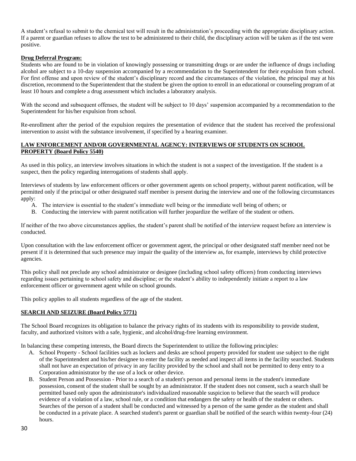A student's refusal to submit to the chemical test will result in the administration's proceeding with the appropriate disciplinary action. If a parent or guardian refuses to allow the test to be administered to their child, the disciplinary action will be taken as if the test were positive.

#### **Drug Deferral Program:**

Students who are found to be in violation of knowingly possessing or transmitting drugs or are under the influence of drugs including alcohol are subject to a 10-day suspension accompanied by a recommendation to the Superintendent for their expulsion from school. For first offense and upon review of the student's disciplinary record and the circumstances of the violation, the principal may at his discretion, recommend to the Superintendent that the student be given the option to enroll in an educational or counseling program of at least 10 hours and complete a drug assessment which includes a laboratory analysis.

With the second and subsequent offenses, the student will be subject to 10 days' suspension accompanied by a recommendation to the Superintendent for his/her expulsion from school.

Re-enrollment after the period of the expulsion requires the presentation of evidence that the student has received the professional intervention to assist with the substance involvement, if specified by a hearing examiner.

#### **LAW ENFORCEMENT AND/OR GOVERNMENTAL AGENCY: INTERVIEWS OF STUDENTS ON SCHOOL PROPERTY (Board Policy 5540)**

As used in this policy, an interview involves situations in which the student is not a suspect of the investigation. If the student is a suspect, then the policy regarding interrogations of students shall apply.

Interviews of students by law enforcement officers or other government agents on school property, without parent notification, will be permitted only if the principal or other designated staff member is present during the interview and one of the following circumstances apply:

- A. The interview is essential to the student's immediate well being or the immediate well being of others; or
- B. Conducting the interview with parent notification will further jeopardize the welfare of the student or others.

If neither of the two above circumstances applies, the student's parent shall be notified of the interview request before an interview is conducted.

Upon consultation with the law enforcement officer or government agent, the principal or other designated staff member need not be present if it is determined that such presence may impair the quality of the interview as, for example, interviews by child protective agencies.

This policy shall not preclude any school administrator or designee (including school safety officers) from conducting interviews regarding issues pertaining to school safety and discipline; or the student's ability to independently initiate a report to a law enforcement officer or government agent while on school grounds.

This policy applies to all students regardless of the age of the student.

#### **SEARCH AND SEIZURE (Board Policy 5771)**

The School Board recognizes its obligation to balance the privacy rights of its students with its responsibility to provide student, faculty, and authorized visitors with a safe, hygienic, and alcohol/drug-free learning environment.

In balancing these competing interests, the Board directs the Superintendent to utilize the following principles:

- A. School Property School facilities such as lockers and desks are school property provided for student use subject to the right of the Superintendent and his/her designee to enter the facility as needed and inspect all items in the facility searched. Students shall not have an expectation of privacy in any facility provided by the school and shall not be permitted to deny entry to a Corporation administrator by the use of a lock or other device.
- B. Student Person and Possession Prior to a search of a student's person and personal items in the student's immediate possession, consent of the student shall be sought by an administrator. If the student does not consent, such a search shall be permitted based only upon the administrator's individualized reasonable suspicion to believe that the search will produce evidence of a violation of a law, school rule, or a condition that endangers the safety or health of the student or others. Searches of the person of a student shall be conducted and witnessed by a person of the same gender as the student and shall be conducted in a private place. A searched student's parent or guardian shall be notified of the search within twenty-four (24) hours.